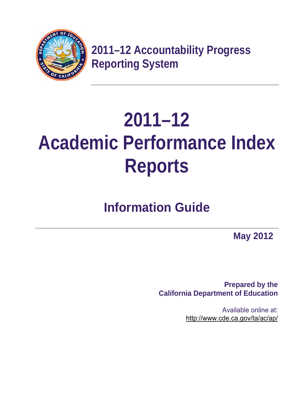

**2011–12 Accountability Progress Reporting System** 

# **2011–12 Academic Performance Index Reports**

## **Information Guide**

**May 2012** 

**Prepared by the California Department of Education** 

> Available online at: http://www.cde.ca.gov/ta/ac/ap/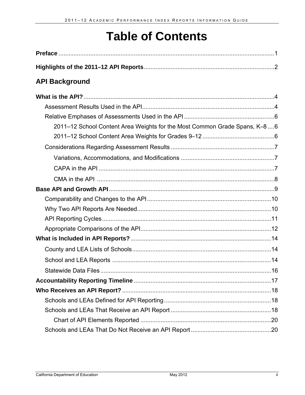## **Table of Contents**

| <b>API Background</b>                                                     |  |
|---------------------------------------------------------------------------|--|
|                                                                           |  |
|                                                                           |  |
|                                                                           |  |
| 2011-12 School Content Area Weights for the Most Common Grade Spans, K-86 |  |
|                                                                           |  |
|                                                                           |  |
|                                                                           |  |
|                                                                           |  |
|                                                                           |  |
|                                                                           |  |
|                                                                           |  |
|                                                                           |  |
|                                                                           |  |
|                                                                           |  |
|                                                                           |  |
|                                                                           |  |
|                                                                           |  |
|                                                                           |  |
|                                                                           |  |
|                                                                           |  |
|                                                                           |  |
|                                                                           |  |
|                                                                           |  |
|                                                                           |  |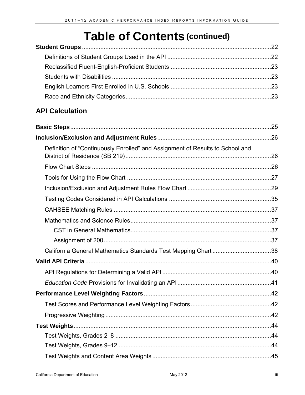## **Table of Contents (continued)**

### **API Calculation**

| Definition of "Continuously Enrolled" and Assignment of Results to School and |  |
|-------------------------------------------------------------------------------|--|
|                                                                               |  |
|                                                                               |  |
|                                                                               |  |
|                                                                               |  |
|                                                                               |  |
|                                                                               |  |
|                                                                               |  |
|                                                                               |  |
|                                                                               |  |
|                                                                               |  |
|                                                                               |  |
|                                                                               |  |
|                                                                               |  |
|                                                                               |  |
|                                                                               |  |
|                                                                               |  |
|                                                                               |  |
|                                                                               |  |
|                                                                               |  |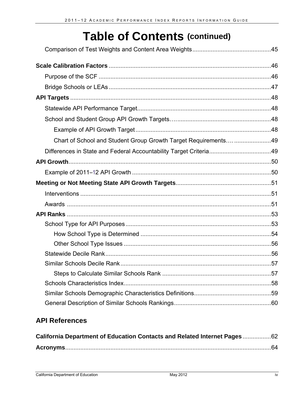## **Table of Contents (continued)**

| Chart of School and Student Group Growth Target Requirements49 |  |
|----------------------------------------------------------------|--|
|                                                                |  |
|                                                                |  |
|                                                                |  |
|                                                                |  |
|                                                                |  |
|                                                                |  |
|                                                                |  |
|                                                                |  |
|                                                                |  |
|                                                                |  |
|                                                                |  |
|                                                                |  |
|                                                                |  |
|                                                                |  |
|                                                                |  |
|                                                                |  |

## **API References**

| California Department of Education Contacts and Related Internet Pages 62 |  |
|---------------------------------------------------------------------------|--|
|                                                                           |  |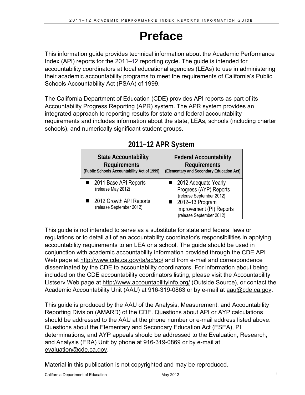## **Preface**

This information guide provides technical information about the Academic Performance Index (API) reports for the 2011–12 reporting cycle. The guide is intended for accountability coordinators at local educational agencies (LEAs) to use in administering their academic accountability programs to meet the requirements of California's Public Schools Accountability Act (PSAA) of 1999.

The California Department of Education (CDE) provides API reports as part of its Accountability Progress Reporting (APR) system. The APR system provides an integrated approach to reporting results for state and federal accountability requirements and includes information about the state, LEAs, schools (including charter schools), and numerically significant student groups.

| <b>State Accountability</b>                                                                          | <b>Federal Accountability</b>                                                                                                                         |
|------------------------------------------------------------------------------------------------------|-------------------------------------------------------------------------------------------------------------------------------------------------------|
| <b>Requirements</b>                                                                                  | <b>Requirements</b>                                                                                                                                   |
| (Public Schools Accountability Act of 1999)                                                          | (Elementary and Secondary Education Act)                                                                                                              |
| ■ 2011 Base API Reports<br>(release May 2012)<br>2012 Growth API Reports<br>(release September 2012) | 2012 Adequate Yearly<br>Progress (AYP) Reports<br>(release September 2012)<br>2012-13 Program<br>Improvement (PI) Reports<br>(release September 2012) |

## **2011–12 APR System**

This guide is not intended to serve as a substitute for state and federal laws or regulations or to detail all of an accountability coordinator's responsibilities in applying accountability requirements to an LEA or a school. The guide should be used in conjunction with academic accountability information provided through the CDE API Web page at http://www.cde.ca.gov/ta/ac/ap/ and from e-mail and correspondence disseminated by the CDE to accountability coordinators. For information about being included on the CDE accountability coordinators listing, please visit the Accountability Listserv Web page at http://www.accountabilityinfo.org/ (Outside Source), or contact the Academic Accountability Unit (AAU) at 916-319-0863 or by e-mail at aau@cde.ca.gov.

This guide is produced by the AAU of the Analysis, Measurement, and Accountability Reporting Division (AMARD) of the CDE. Questions about API or AYP calculations should be addressed to the AAU at the phone number or e-mail address listed above. Questions about the Elementary and Secondary Education Act (ESEA), PI determinations, and AYP appeals should be addressed to the Evaluation, Research, and Analysis (ERA) Unit by phone at 916-319-0869 or by e-mail at evaluation@cde.ca.gov.

Material in this publication is not copyrighted and may be reproduced.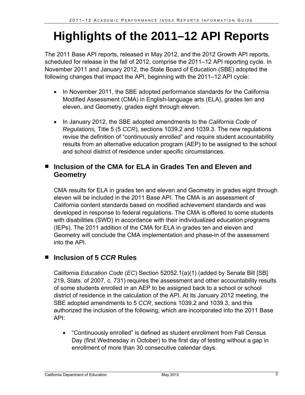## **Highlights of the 2011–12 API Reports**

The 2011 Base API reports, released in May 2012, and the 2012 Growth API reports, scheduled for release in the fall of 2012, comprise the 2011–12 API reporting cycle. In November 2011 and January 2012, the State Board of Education (SBE) adopted the following changes that impact the API, beginning with the 2011–12 API cycle:

- In November 2011, the SBE adopted performance standards for the California Modified Assessment (CMA) in English-language arts (ELA), grades ten and eleven, and Geometry, grades eight through eleven.
- In January 2012, the SBE adopted amendments to the *California Code of Regulations,* Title 5 (5 *CCR*), sections 1039.2 and 1039.3. The new regulations revise the definition of "continuously enrolled" and require student accountability results from an alternative education program (AEP) to be assigned to the school and school district of residence under specific circumstances.

#### ■ Inclusion of the CMA for ELA in Grades Ten and Eleven and **Geometry**

CMA results for ELA in grades ten and eleven and Geometry in grades eight through eleven will be included in the 2011 Base API. The CMA is an assessment of California content standards based on modified achievement standards and was developed in response to federal regulations. The CMA is offered to some students with disabilities (SWD) in accordance with their individualized education programs (IEPs). The 2011 addition of the CMA for ELA in grades ten and eleven and Geometry will conclude the CMA implementation and phase-in of the assessment into the API.

### ■ Inclusion of 5 *CCR* Rules

California *Education Code* (*EC*) Section 52052.1(a)(1) (added by Senate Bill [SB] 219, Stats. of 2007, c. 731) requires the assessment and other accountability results of some students enrolled in an AEP to be assigned back to a school or school district of residence in the calculation of the API. At its January 2012 meeting, the SBE adopted amendments to 5 *CCR*, sections 1039.2 and 1039.3, and this authorized the inclusion of the following, which are incorporated into the 2011 Base API:

 "Continuously enrolled" is defined as student enrollment from Fall Census Day (first Wednesday in October) to the first day of testing without a gap in enrollment of more than 30 consecutive calendar days.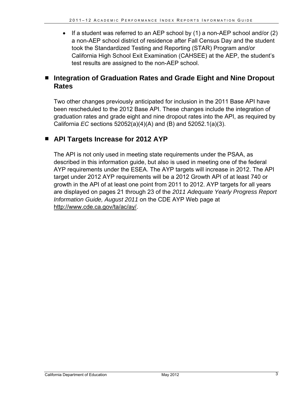If a student was referred to an AEP school by  $(1)$  a non-AEP school and/or  $(2)$ a non-AEP school district of residence after Fall Census Day and the student took the Standardized Testing and Reporting (STAR) Program and/or California High School Exit Examination (CAHSEE) at the AEP, the student's test results are assigned to the non-AEP school.

#### ■ Integration of Graduation Rates and Grade Eight and Nine Dropout **Rates**

Two other changes previously anticipated for inclusion in the 2011 Base API have been rescheduled to the 2012 Base API. These changes include the integration of graduation rates and grade eight and nine dropout rates into the API, as required by California *EC* sections 52052(a)(4)(A) and (B) and 52052.1(a)(3).

#### **API Targets Increase for 2012 AYP**

The API is not only used in meeting state requirements under the PSAA, as described in this information guide, but also is used in meeting one of the federal AYP requirements under the ESEA. The AYP targets will increase in 2012. The API target under 2012 AYP requirements will be a 2012 Growth API of at least 740 or growth in the API of at least one point from 2011 to 2012. AYP targets for all years are displayed on pages 21 through 23 of the *2011 Adequate Yearly Progress Report Information Guide, August 2011* on the CDE AYP Web page at http://www.cde.ca.gov/ta/ac/ay/.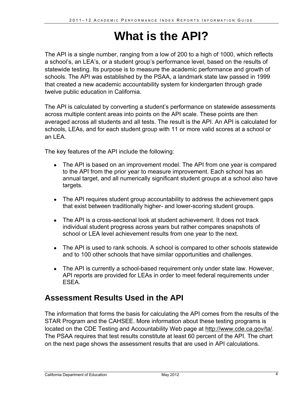## **What is the API?**

The API is a single number, ranging from a low of 200 to a high of 1000, which reflects a school's, an LEA's, or a student group's performance level, based on the results of statewide testing. Its purpose is to measure the academic performance and growth of schools. The API was established by the PSAA, a landmark state law passed in 1999 that created a new academic accountability system for kindergarten through grade twelve public education in California.

The API is calculated by converting a student's performance on statewide assessments across multiple content areas into points on the API scale. These points are then averaged across all students and all tests. The result is the API. An API is calculated for schools, LEAs, and for each student group with 11 or more valid scores at a school or an LEA.

The key features of the API include the following:

- The API is based on an improvement model. The API from one year is compared to the API from the prior year to measure improvement. Each school has an annual target, and all numerically significant student groups at a school also have targets.
- The API requires student group accountability to address the achievement gaps that exist between traditionally higher- and lower-scoring student groups.
- The API is a cross-sectional look at student achievement. It does not track individual student progress across years but rather compares snapshots of school or LEA level achievement results from one year to the next.
- The API is used to rank schools. A school is compared to other schools statewide and to 100 other schools that have similar opportunities and challenges.
- The API is currently a school-based requirement only under state law. However, API reports are provided for LEAs in order to meet federal requirements under ESEA.

## **Assessment Results Used in the API**

The information that forms the basis for calculating the API comes from the results of the STAR Program and the CAHSEE. More information about these testing programs is located on the CDE Testing and Accountability Web page at http://www.cde.ca.gov/ta/. The PSAA requires that test results constitute at least 60 percent of the API. The chart on the next page shows the assessment results that are used in API calculations.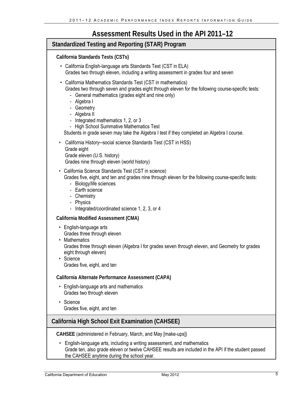### **Assessment Results Used in the API 2011–12**

| Standardized Testing and Reporting (STAR) Program                                                                                                                                                                                                                                                                                                                                                                                                   |  |  |  |
|-----------------------------------------------------------------------------------------------------------------------------------------------------------------------------------------------------------------------------------------------------------------------------------------------------------------------------------------------------------------------------------------------------------------------------------------------------|--|--|--|
| California Standards Tests (CSTs)                                                                                                                                                                                                                                                                                                                                                                                                                   |  |  |  |
| • California English-language arts Standards Test (CST in ELA)<br>Grades two through eleven, including a writing assessment in grades four and seven                                                                                                                                                                                                                                                                                                |  |  |  |
| California Mathematics Standards Test (CST in mathematics)<br>Grades two through seven and grades eight through eleven for the following course-specific tests:<br>- General mathematics (grades eight and nine only)<br>- Algebra I<br>- Geometry<br>- Algebra II<br>- Integrated mathematics 1, 2, or 3<br>- High School Summative Mathematics Test<br>Students in grade seven may take the Algebra I test if they completed an Algebra I course. |  |  |  |
| California History-social science Standards Test (CST in HSS)<br>$\bullet$<br>Grade eight<br>Grade eleven (U.S. history)<br>Grades nine through eleven (world history)                                                                                                                                                                                                                                                                              |  |  |  |
| California Science Standards Test (CST in science)<br>Grades five, eight, and ten and grades nine through eleven for the following course-specific tests:<br>- Biology/life sciences<br>- Earth science<br>- Chemistry<br>- Physics<br>- Integrated/coordinated science 1, 2, 3, or 4                                                                                                                                                               |  |  |  |
| <b>California Modified Assessment (CMA)</b>                                                                                                                                                                                                                                                                                                                                                                                                         |  |  |  |
| English-language arts<br>$\bullet$<br>Grades three through eleven<br><b>Mathematics</b><br>Grades three through eleven (Algebra I for grades seven through eleven, and Geometry for grades<br>eight through eleven)<br>• Science<br>Grades five, eight, and ten                                                                                                                                                                                     |  |  |  |
| California Alternate Performance Assessment (CAPA)                                                                                                                                                                                                                                                                                                                                                                                                  |  |  |  |
| English-language arts and mathematics<br>$\bullet$<br>Grades two through eleven                                                                                                                                                                                                                                                                                                                                                                     |  |  |  |
| Science<br>٠<br>Grades five, eight, and ten                                                                                                                                                                                                                                                                                                                                                                                                         |  |  |  |
| California High School Exit Examination (CAHSEE)                                                                                                                                                                                                                                                                                                                                                                                                    |  |  |  |
| CAHSEE (administered in February, March, and May [make-ups])<br>English-language arts, including a writing assessment, and mathematics<br>Grade ten, also grade eleven or twelve CAHSEE results are included in the API if the student passed                                                                                                                                                                                                       |  |  |  |
| the CAHSEE anytime during the school year.                                                                                                                                                                                                                                                                                                                                                                                                          |  |  |  |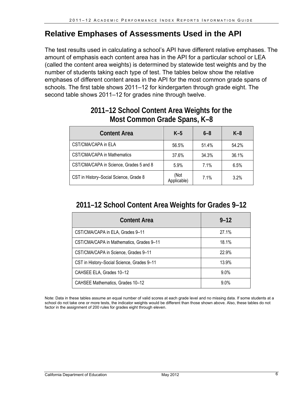### **Relative Emphases of Assessments Used in the API**

The test results used in calculating a school's API have different relative emphases. The amount of emphasis each content area has in the API for a particular school or LEA (called the content area weights) is determined by statewide test weights and by the number of students taking each type of test. The tables below show the relative emphases of different content areas in the API for the most common grade spans of schools. The first table shows 2011–12 for kindergarten through grade eight. The second table shows 2011–12 for grades nine through twelve.

| <b>Content Area</b>                     | $K-5$               | $6 - 8$ | $K-8$ |
|-----------------------------------------|---------------------|---------|-------|
| CST/CMA/CAPA in ELA                     | 56.5%               | 51.4%   | 54.2% |
| CST/CMA/CAPA in Mathematics             | 37.6%               | 34.3%   | 36.1% |
| CST/CMA/CAPA in Science, Grades 5 and 8 | 5.9%                | 7.1%    | 6.5%  |
| CST in History-Social Science, Grade 8  | (Not<br>Applicable) | 7.1%    | 3.2%  |

### **2011–12 School Content Area Weights for the Most Common Grade Spans, K–8**

### **2011–12 School Content Area Weights for Grades 9–12**

| <b>Content Area</b>                        | $9 - 12$ |
|--------------------------------------------|----------|
| CST/CMA/CAPA in ELA, Grades 9-11           | 27.1%    |
| CST/CMA/CAPA in Mathematics, Grades 9-11   | 18.1%    |
| CST/CMA/CAPA in Science, Grades 9-11       | 22.9%    |
| CST in History-Social Science, Grades 9-11 | 13.9%    |
| CAHSEE ELA, Grades 10-12                   | $9.0\%$  |
| CAHSEE Mathematics, Grades 10-12           | $9.0\%$  |

Note: Data in these tables assume an equal number of valid scores at each grade level and no missing data. If some students at a school do not take one or more tests, the indicator weights would be different than those shown above. Also, these tables do not factor in the assignment of 200 rules for grades eight through eleven.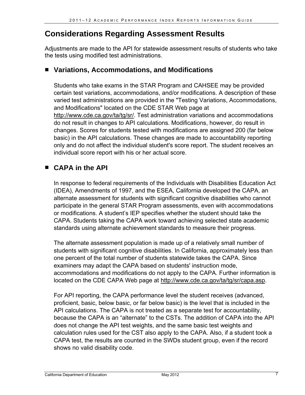## **Considerations Regarding Assessment Results**

Adjustments are made to the API for statewide assessment results of students who take the tests using modified test administrations.

#### ■ Variations, Accommodations, and Modifications

Students who take exams in the STAR Program and CAHSEE may be provided certain test variations, accommodations, and/or modifications. A description of these varied test administrations are provided in the "Testing Variations, Accommodations, and Modifications" located on the CDE STAR Web page at http://www.cde.ca.gov/ta/tg/sr/. Test administration variations and accommodations do not result in changes to API calculations. Modifications, however, do result in changes. Scores for students tested with modifications are assigned 200 (far below basic) in the API calculations. These changes are made to accountability reporting only and do not affect the individual student's score report. The student receives an individual score report with his or her actual score.

#### **CAPA in the API**

In response to federal requirements of the Individuals with Disabilities Education Act (IDEA), Amendments of 1997, and the ESEA, California developed the CAPA, an alternate assessment for students with significant cognitive disabilities who cannot participate in the general STAR Program assessments, even with accommodations or modifications. A student's IEP specifies whether the student should take the CAPA. Students taking the CAPA work toward achieving selected state academic standards using alternate achievement standards to measure their progress.

The alternate assessment population is made up of a relatively small number of students with significant cognitive disabilities. In California, approximately less than one percent of the total number of students statewide takes the CAPA. Since examiners may adapt the CAPA based on students' instruction mode, accommodations and modifications do not apply to the CAPA. Further information is located on the CDE CAPA Web page at http://www.cde.ca.gov/ta/tg/sr/capa.asp.

For API reporting, the CAPA performance level the student receives (advanced, proficient, basic, below basic, or far below basic) is the level that is included in the API calculations. The CAPA is not treated as a separate test for accountability, because the CAPA is an "alternate" to the CSTs. The addition of CAPA into the API does not change the API test weights, and the same basic test weights and calculation rules used for the CST also apply to the CAPA. Also, if a student took a CAPA test, the results are counted in the SWDs student group, even if the record shows no valid disability code.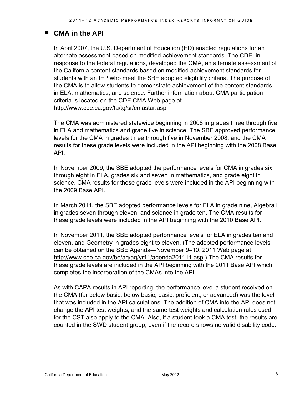#### **CMA in the API**

In April 2007, the U.S. Department of Education (ED) enacted regulations for an alternate assessment based on modified achievement standards. The CDE, in response to the federal regulations, developed the CMA, an alternate assessment of the California content standards based on modified achievement standards for students with an IEP who meet the SBE adopted eligibility criteria. The purpose of the CMA is to allow students to demonstrate achievement of the content standards in ELA, mathematics, and science. Further information about CMA participation criteria is located on the CDE CMA Web page at http://www.cde.ca.gov/ta/tg/sr/cmastar.asp.

The CMA was administered statewide beginning in 2008 in grades three through five in ELA and mathematics and grade five in science. The SBE approved performance levels for the CMA in grades three through five in November 2008, and the CMA results for these grade levels were included in the API beginning with the 2008 Base API.

In November 2009, the SBE adopted the performance levels for CMA in grades six through eight in ELA, grades six and seven in mathematics, and grade eight in science. CMA results for these grade levels were included in the API beginning with the 2009 Base API.

In March 2011, the SBE adopted performance levels for ELA in grade nine, Algebra I in grades seven through eleven, and science in grade ten. The CMA results for these grade levels were included in the API beginning with the 2010 Base API.

In November 2011, the SBE adopted performance levels for ELA in grades ten and eleven, and Geometry in grades eight to eleven. (The adopted performance levels can be obtained on the SBE Agenda—November 9–10, 2011 Web page at http://www.cde.ca.gov/be/ag/ag/yr11/agenda201111.asp.) The CMA results for these grade levels are included in the API beginning with the 2011 Base API which completes the incorporation of the CMAs into the API.

As with CAPA results in API reporting, the performance level a student received on the CMA (far below basic, below basic, basic, proficient, or advanced) was the level that was included in the API calculations. The addition of CMA into the API does not change the API test weights, and the same test weights and calculation rules used for the CST also apply to the CMA. Also, if a student took a CMA test, the results are counted in the SWD student group, even if the record shows no valid disability code.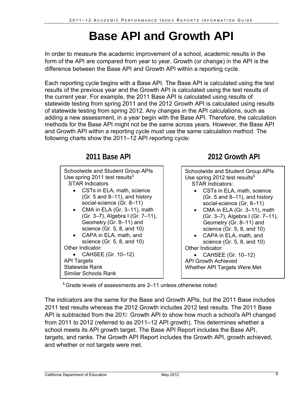## **Base API and Growth API**

In order to measure the academic improvement of a school, academic results in the form of the API are compared from year to year. Growth (or change) in the API is the difference between the Base API and Growth API within a reporting cycle.

Each reporting cycle begins with a Base API. The Base API is calculated using the test results of the previous year and the Growth API is calculated using the test results of the current year. For example, the 2011 Base API is calculated using results of statewide testing from spring 2011 and the 2012 Growth API is calculated using results of statewide testing from spring 2012. Any changes in the API calculations, such as adding a new assessment, in a year begin with the Base API. Therefore, the calculation methods for the Base API might not be the same across years. However, the Base API and Growth API within a reporting cycle must use the same calculation method. The following charts show the 2011–12 API reporting cycle:



**<sup>1</sup>**Grade levels of assessments are 2–11 unless otherwise noted.

The indicators are the same for the Base and Growth APIs, but the 2011 Base includes 2011 test results whereas the 2012 Growth includes 2012 test results. The 2011 Base API is subtracted from the 201 G Growth API to show how much a school's API changed from 2011 to 2012 (referred to as 2011–12 API growth). This determines whether a school meets its API growth target. The Base API Report includes the Base API, targets, and ranks. The Growth API Report includes the Growth API, growth achieved, and whether or not targets were met.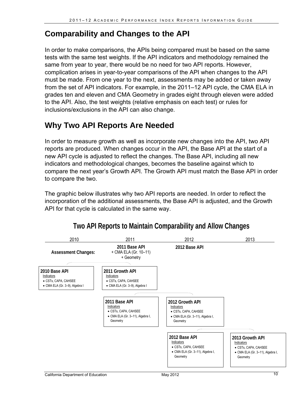## **Comparability and Changes to the API**

In order to make comparisons, the APIs being compared must be based on the same tests with the same test weights. If the API indicators and methodology remained the same from year to year, there would be no need for two API reports. However, complication arises in year-to-year comparisons of the API when changes to the API must be made. From one year to the next, assessments may be added or taken away from the set of API indicators. For example, in the 2011–12 API cycle, the CMA ELA in grades ten and eleven and CMA Geometry in grades eight through eleven were added to the API. Also, the test weights (relative emphasis on each test) or rules for inclusions/exclusions in the API can also change.

## **Why Two API Reports Are Needed**

In order to measure growth as well as incorporate new changes into the API, two API reports are produced. When changes occur in the API, the Base API at the start of a new API cycle is adjusted to reflect the changes. The Base API, including all new indicators and methodological changes, becomes the baseline against which to compare the next year's Growth API. The Growth API must match the Base API in order to compare the two.

The graphic below illustrates why two API reports are needed. In order to reflect the incorporation of the additional assessments, the Base API is adjusted, and the Growth API for that cycle is calculated in the same way.



### **Two API Reports to Maintain Comparability and Allow Changes**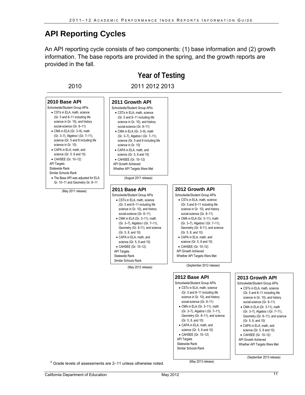### **API Reporting Cycles**

An API reporting cycle consists of two components: (1) base information and (2) growth information. The base reports are provided in the spring, and the growth reports are provided in the fall.

**Year of Testing**  • CSTs in ELA, math, science • CMA in ELA (Gr. 3-11), math CMA in ELA (Gr. 3–11), math (Gr. 3–7), Algebra I (Gr. 7–11), • CSTs in ELA, math, science CMA in ELA (Gr. 3–9), math (Gr. 3–7), Algebra I (Gr. 7–11), • CSTs in ELA, math, science CMA in ELA (Gr. 3–9), math (Gr. 3–7), Algebra I (Gr. 7–11), • CSTs in ELA, math, science • CMA in ELA (Gr. 3-11), math CMA in ELA (Gr. 3–11), math (Gr. 3–7), Algebra I (Gr. 7–11), • CSTs in ELA, math, science • CMA in ELA (Gr. 3-11), math CMA in ELA (Gr. 3–11), math (Gr. 3–7), Algebra I (Gr. 7–11), • CSTs in ELA, math, science CMA in ELA (Gr. 3-11), math (Gr. 3–7), Algebra I (Gr. 7–11), 2010 2011 2012 2013 **2010 Base API**  Schoolwide/Student Group APIs  $(Gr. 5 and 8–11 including life)$ science in Gr. 10), and history social-science (Gr. 8–11) science (Gr. 5 and 8 including life science in Gr. 10) CAPA in ELA, math, and science (Gr. 5, 8 and 10) CAHSEE (Gr. 10–12) **API Tamets** Statewide Rank Similar Schools Rank The Base API was adjusted for ELA Gr. 10–11 and Geometry Gr. 8–11 (May 2011 release) **2011 Growth API**  Schoolwide/Student Group APIs  $(Gr. 5 and 8–11 including life)$ science in Gr. 10), and history social-science (Gr. 8–11) science (Gr. 5 and 8 including life science in Gr. 10) CAPA in ELA, math, and science (Gr. 5, 8 and 10) CAHSEE (Gr. 10–12) API Growth Achieved Whether API Targets Were Met (August 2011 release) **2011 Base API**  Schoolwide/Student Group APIs (Gr. 5 and 8–11 including life science in Gr. 10), and history social-science (Gr. 8–11) Geometry (Gr. 8-11), and science (Gr. 5, 8, and 10) CAPA in ELA, math, and science (Gr. 5, 8 and 10) CAHSEE (Gr. 10–12) API Targets Statewide Rank Similar Schools Rank (May 2012 release) **2012 Growth API**  Schoolwide/Student Group APIs (Gr. 5 and 8–11 including life science in Gr. 10), and history social-science (Gr. 8–11) Geometry (Gr. 8-11), and science  $(Gr, 5, 8, \text{ and } 10)$  CAPA in ELA, math, and science (Gr. 5, 8 and 10) CAHSEE (Gr. 10–12) API Growth Achieved Whether API Targets Were Met (September 2012 release) **2012 Base API**  Schoolwide/Student Group APIs (Gr. 5 and 8–11 including life science in Gr. 10), and history social-science (Gr. 8-11) Geometry (Gr. 8–11), and science (Gr. 5, 8, and 10) CAPA in ELA, math, and science (Gr. 5, 8 and 10) CAHSEE (Gr. 10–12) **API Targets** Statewide Rank Similar Schools Rank **2013 Growth API**  Schoolwide/Student Group APIs  $(Gr. 5$  and 8–11 including life science in Gr. 10), and history social-science (Gr. 8-11) Geometry (Gr. 8–11), and science (Gr. 5, 8, and 10) CAPA in ELA, math, and science (Gr. 5, 8 and 10) CAHSEE (Gr. 10–12) API Growth Achieved Whether API Targets Were Met (September 2013 release)

<sup>1</sup> Grade levels of assessments are 2–11 unless otherwise noted. (May 2013 release)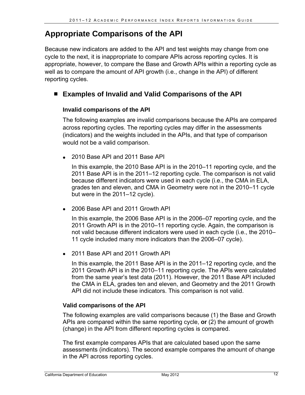## **Appropriate Comparisons of the API**

Because new indicators are added to the API and test weights may change from one cycle to the next, it is inappropriate to compare APIs across reporting cycles. It is appropriate, however, to compare the Base and Growth APIs within a reporting cycle as well as to compare the amount of API growth (i.e., change in the API) of different reporting cycles.

#### **Examples of Invalid and Valid Comparisons of the API**

#### **Invalid comparisons of the API**

The following examples are invalid comparisons because the APIs are compared across reporting cycles. The reporting cycles may differ in the assessments (indicators) and the weights included in the APIs, and that type of comparison would not be a valid comparison.

2010 Base API and 2011 Base API

In this example, the 2010 Base API is in the 2010–11 reporting cycle, and the 2011 Base API is in the 2011–12 reporting cycle. The comparison is not valid because different indicators were used in each cycle (i.e., the CMA in ELA, grades ten and eleven, and CMA in Geometry were not in the 2010–11 cycle but were in the 2011–12 cycle).

2006 Base API and 2011 Growth API

In this example, the 2006 Base API is in the 2006–07 reporting cycle, and the 2011 Growth API is in the 2010–11 reporting cycle. Again, the comparison is not valid because different indicators were used in each cycle (i.e., the 2010– 11 cycle included many more indicators than the 2006–07 cycle).

• 2011 Base API and 2011 Growth API

In this example, the 2011 Base API is in the 2011–12 reporting cycle, and the 2011 Growth API is in the 2010–11 reporting cycle. The APIs were calculated from the same year's test data (2011). However, the 2011 Base API included the CMA in ELA, grades ten and eleven, and Geometry and the 2011 Growth API did not include these indicators. This comparison is not valid.

#### **Valid comparisons of the API**

The following examples are valid comparisons because (1) the Base and Growth APIs are compared within the same reporting cycle, **or** (2) the amount of growth (change) in the API from different reporting cycles is compared.

The first example compares APIs that are calculated based upon the same assessments (indicators). The second example compares the amount of change in the API across reporting cycles.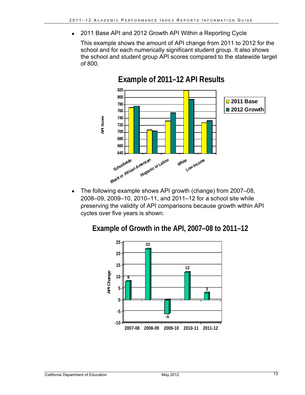2011 Base API and 2012 Growth API Within a Reporting Cycle

This example shows the amount of API change from 2011 to 2012 for the school and for each numerically significant student group. It also shows the school and student group API scores compared to the statewide target of 800.



## **Example of 2011–12 API Results**

 The following example shows API growth (change) from 2007–08, 2008–09, 2009–10, 2010–11, and 2011–12 for a school site while preserving the validity of API comparisons because growth within API cycles over five years is shown.

**Example of Growth in the API, 2007–08 to 2011–12** 

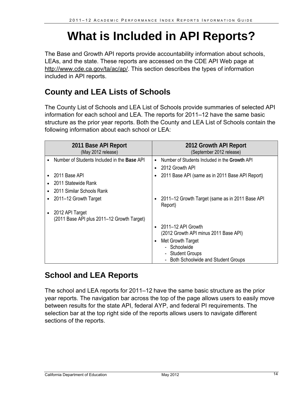## **What is Included in API Reports?**

The Base and Growth API reports provide accountability information about schools, LEAs, and the state. These reports are accessed on the CDE API Web page at http://www.cde.ca.gov/ta/ac/ap/. This section describes the types of information included in API reports.

## **County and LEA Lists of Schools**

The County List of Schools and LEA List of Schools provide summaries of selected API information for each school and LEA. The reports for 2011–12 have the same basic structure as the prior year reports. Both the County and LEA List of Schools contain the following information about each school or LEA:

| 2011 Base API Report<br>(May 2012 release)                    |           | 2012 Growth API Report<br>(September 2012 release)                                                                |
|---------------------------------------------------------------|-----------|-------------------------------------------------------------------------------------------------------------------|
| Number of Students Included in the Base API                   | $\bullet$ | Number of Students Included in the Growth API                                                                     |
|                                                               | $\bullet$ | 2012 Growth API                                                                                                   |
| 2011 Base API                                                 | ٠         | 2011 Base API (same as in 2011 Base API Report)                                                                   |
| 2011 Statewide Rank                                           |           |                                                                                                                   |
| 2011 Similar Schools Rank                                     |           |                                                                                                                   |
| 2011–12 Growth Target                                         | $\bullet$ | 2011-12 Growth Target (same as in 2011 Base API<br>Report)                                                        |
| 2012 API Target<br>(2011 Base API plus 2011-12 Growth Target) |           |                                                                                                                   |
|                                                               | $\bullet$ | 2011–12 API Growth<br>(2012 Growth API minus 2011 Base API)                                                       |
|                                                               | $\bullet$ | Met Growth Target<br>- Schoolwide<br><b>Student Groups</b><br>-<br><b>Both Schoolwide and Student Groups</b><br>L |

## **School and LEA Reports**

The school and LEA reports for 2011–12 have the same basic structure as the prior year reports. The navigation bar across the top of the page allows users to easily move between results for the state API, federal AYP, and federal PI requirements. The selection bar at the top right side of the reports allows users to navigate different sections of the reports.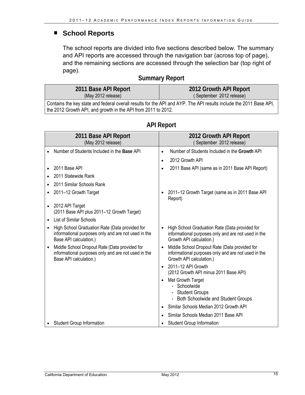#### ■ School Reports

The school reports are divided into five sections described below. The summary and API reports are accessed through the navigation bar (across top of page), and the remaining sections are accessed through the selection bar (top right of page).

#### **Summary Report**

| 2011 Base API Report                                                                                               | 2012 Growth API Report   |  |  |  |
|--------------------------------------------------------------------------------------------------------------------|--------------------------|--|--|--|
| (May 2012 release)                                                                                                 | (September 2012 release) |  |  |  |
| Contains the key state and federal overall results for the API and AYP. The API results include the 2011 Base API, |                          |  |  |  |
| the 2012 Growth API, and growth in the API from 2011 to 2012.                                                      |                          |  |  |  |

|           | 2011 Base API Report<br>(May 2012 release)                                                                                      | 2012 Growth API Report<br>(September 2012 release)                                                                                |  |
|-----------|---------------------------------------------------------------------------------------------------------------------------------|-----------------------------------------------------------------------------------------------------------------------------------|--|
|           | Number of Students Included in the Base API                                                                                     | Number of Students Included in the Growth API<br>$\bullet$                                                                        |  |
|           |                                                                                                                                 | 2012 Growth API<br>$\bullet$                                                                                                      |  |
|           | 2011 Base API                                                                                                                   | 2011 Base API (same as in 2011 Base API Report)<br>$\bullet$                                                                      |  |
|           | 2011 Statewide Rank                                                                                                             |                                                                                                                                   |  |
|           | 2011 Similar Schools Rank                                                                                                       |                                                                                                                                   |  |
|           | 2011-12 Growth Target                                                                                                           | 2011-12 Growth Target (same as in 2011 Base API<br>Report)                                                                        |  |
| $\bullet$ | 2012 API Target<br>(2011 Base API plus 2011-12 Growth Target)                                                                   |                                                                                                                                   |  |
|           | <b>List of Similar Schools</b>                                                                                                  |                                                                                                                                   |  |
| $\bullet$ | High School Graduation Rate (Data provided for<br>informational purposes only and are not used in the<br>Base API calculation.) | High School Graduation Rate (Data provided for<br>informational purposes only and are not used in the<br>Growth API calculation.) |  |
| $\bullet$ | Middle School Dropout Rate (Data provided for<br>informational purposes only and are not used in the<br>Base API calculation.)  | Middle School Dropout Rate (Data provided for<br>informational purposes only and are not used in the<br>Growth API calculation.)  |  |
|           |                                                                                                                                 | 2011-12 API Growth<br>$\bullet$<br>(2012 Growth API minus 2011 Base API)                                                          |  |
|           |                                                                                                                                 | Met Growth Target<br>$\bullet$<br>- Schoolwide<br>- Student Groups<br>Both Schoolwide and Student Groups                          |  |
|           |                                                                                                                                 | Similar Schools Median 2012 Growth API                                                                                            |  |
|           |                                                                                                                                 | Similar Schools Median 2011 Base API                                                                                              |  |
|           | <b>Student Group Information</b>                                                                                                | <b>Student Group Information</b>                                                                                                  |  |

#### **API Report**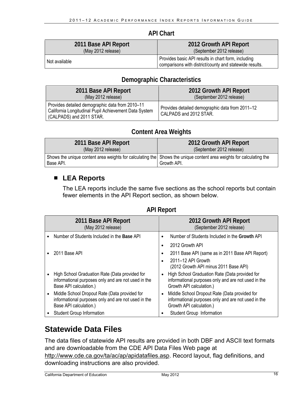#### **API Chart**

| 2011 Base API Report | 2012 Growth API Report                                                                                         |
|----------------------|----------------------------------------------------------------------------------------------------------------|
| (May 2012 release)   | (September 2012 release)                                                                                       |
| Not available        | Provides basic API results in chart form, including<br>comparisons with district/county and statewide results. |

#### **Demographic Characteristics**

| 2011 Base API Report                                                                                                                 | 2012 Growth API Report                                                    |
|--------------------------------------------------------------------------------------------------------------------------------------|---------------------------------------------------------------------------|
| (May 2012 release)                                                                                                                   | (September 2012 release)                                                  |
| Provides detailed demographic data from 2010-11<br>California Longitudinal Pupil Achievement Data System<br>(CALPADS) and 2011 STAR. | Provides detailed demographic data from 2011-12<br>CALPADS and 2012 STAR. |

#### **Content Area Weights**

| 2011 Base API Report | 2012 Growth API Report                                                                                                             |
|----------------------|------------------------------------------------------------------------------------------------------------------------------------|
| (May 2012 release)   | (September 2012 release)                                                                                                           |
| Base API.            | Shows the unique content area weights for calculating the Shows the unique content area weights for calculating the<br>Growth API. |

#### **LEA Reports**

The LEA reports include the same five sections as the school reports but contain fewer elements in the API Report section, as shown below.

| 2011 Base API Report<br>(May 2012 release)                                                                                      | 2012 Growth API Report<br>(September 2012 release)                                                                                             |
|---------------------------------------------------------------------------------------------------------------------------------|------------------------------------------------------------------------------------------------------------------------------------------------|
| Number of Students Included in the Base API                                                                                     | Number of Students Included in the Growth API<br>٠                                                                                             |
|                                                                                                                                 | 2012 Growth API<br>٠                                                                                                                           |
| 2011 Base API                                                                                                                   | 2011 Base API (same as in 2011 Base API Report)<br>٠                                                                                           |
|                                                                                                                                 | 2011-12 API Growth<br>٠<br>(2012 Growth API minus 2011 Base API)                                                                               |
| High School Graduation Rate (Data provided for<br>informational purposes only and are not used in the<br>Base API calculation.) | High School Graduation Rate (Data provided for<br>$\bullet$<br>informational purposes only and are not used in the<br>Growth API calculation.) |
| Middle School Dropout Rate (Data provided for<br>informational purposes only and are not used in the<br>Base API calculation.)  | Middle School Dropout Rate (Data provided for<br>$\bullet$<br>informational purposes only and are not used in the<br>Growth API calculation.)  |
| <b>Student Group Information</b>                                                                                                | Student Group Information                                                                                                                      |

#### **API Report**

## **Statewide Data Files**

The data files of statewide API results are provided in both DBF and ASCII text formats and are downloadable from the CDE API Data Files Web page at http://www.cde.ca.gov/ta/ac/ap/apidatafiles.asp. Record layout, flag definitions, and downloading instructions are also provided.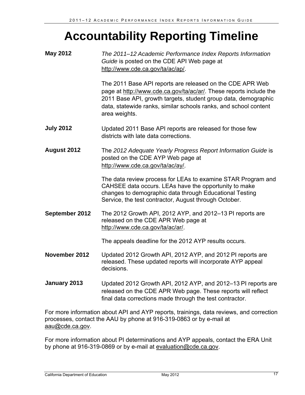## **Accountability Reporting Timeline**

| <b>May 2012</b>    | The 2011–12 Academic Performance Index Reports Information<br>Guide is posted on the CDE API Web page at<br>http://www.cde.ca.gov/ta/ac/ap/.                                                                                                                                           |
|--------------------|----------------------------------------------------------------------------------------------------------------------------------------------------------------------------------------------------------------------------------------------------------------------------------------|
|                    | The 2011 Base API reports are released on the CDE APR Web<br>page at http://www.cde.ca.gov/ta/ac/ar/. These reports include the<br>2011 Base API, growth targets, student group data, demographic<br>data, statewide ranks, similar schools ranks, and school content<br>area weights. |
| <b>July 2012</b>   | Updated 2011 Base API reports are released for those few<br>districts with late data corrections.                                                                                                                                                                                      |
| <b>August 2012</b> | The 2012 Adequate Yearly Progress Report Information Guide is<br>posted on the CDE AYP Web page at<br>http://www.cde.ca.gov/ta/ac/ay/.                                                                                                                                                 |
|                    | The data review process for LEAs to examine STAR Program and<br>CAHSEE data occurs. LEAs have the opportunity to make<br>changes to demographic data through Educational Testing<br>Service, the test contractor, August through October.                                              |
| September 2012     | The 2012 Growth API, 2012 AYP, and 2012–13 PI reports are<br>released on the CDE APR Web page at<br>http://www.cde.ca.gov/ta/ac/ar/.                                                                                                                                                   |
|                    | The appeals deadline for the 2012 AYP results occurs.                                                                                                                                                                                                                                  |
| November 2012      | Updated 2012 Growth API, 2012 AYP, and 2012 PI reports are<br>released. These updated reports will incorporate AYP appeal<br>decisions.                                                                                                                                                |
| January 2013       | Updated 2012 Growth API, 2012 AYP, and 2012–13 PI reports are<br>released on the CDE APR Web page. These reports will reflect<br>final data corrections made through the test contractor.                                                                                              |
|                    | For more information about API and AYP reports, trainings, data reviews, and correction                                                                                                                                                                                                |

processes, contact the AAU by phone at 916-319-0863 or by e-mail at aau@cde.ca.gov.

For more information about PI determinations and AYP appeals, contact the ERA Unit by phone at 916-319-0869 or by e-mail at evaluation@cde.ca.gov.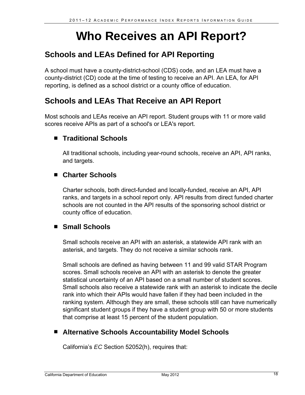## **Who Receives an API Report?**

## **Schools and LEAs Defined for API Reporting**

A school must have a county-district-school (CDS) code, and an LEA must have a county-district (CD) code at the time of testing to receive an API. An LEA, for API reporting, is defined as a school district or a county office of education.

## **Schools and LEAs That Receive an API Report**

Most schools and LEAs receive an API report. Student groups with 11 or more valid scores receive APIs as part of a school's or LEA's report.

#### **Traditional Schools**

All traditional schools, including year-round schools, receive an API, API ranks, and targets.

#### **Charter Schools**

Charter schools, both direct-funded and locally-funded, receive an API, API ranks, and targets in a school report only. API results from direct funded charter schools are not counted in the API results of the sponsoring school district or county office of education.

#### **Small Schools**

Small schools receive an API with an asterisk, a statewide API rank with an asterisk, and targets. They do not receive a similar schools rank.

Small schools are defined as having between 11 and 99 valid STAR Program scores. Small schools receive an API with an asterisk to denote the greater statistical uncertainty of an API based on a small number of student scores. Small schools also receive a statewide rank with an asterisk to indicate the decile rank into which their APIs would have fallen if they had been included in the ranking system. Although they are small, these schools still can have numerically significant student groups if they have a student group with 50 or more students that comprise at least 15 percent of the student population.

#### **Alternative Schools Accountability Model Schools**

California's *EC* Section 52052(h), requires that: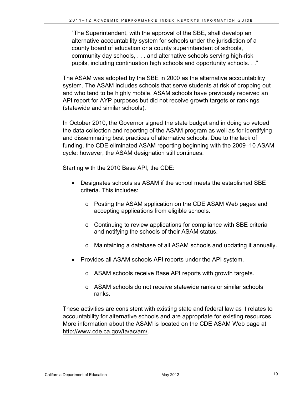"The Superintendent, with the approval of the SBE, shall develop an alternative accountability system for schools under the jurisdiction of a county board of education or a county superintendent of schools, community day schools, . . . and alternative schools serving high-risk pupils, including continuation high schools and opportunity schools. . ."

The ASAM was adopted by the SBE in 2000 as the alternative accountability system. The ASAM includes schools that serve students at risk of dropping out and who tend to be highly mobile. ASAM schools have previously received an API report for AYP purposes but did not receive growth targets or rankings (statewide and similar schools).

In October 2010, the Governor signed the state budget and in doing so vetoed the data collection and reporting of the ASAM program as well as for identifying and disseminating best practices of alternative schools. Due to the lack of funding, the CDE eliminated ASAM reporting beginning with the 2009–10 ASAM cycle; however, the ASAM designation still continues.

Starting with the 2010 Base API, the CDE:

- Designates schools as ASAM if the school meets the established SBE criteria. This includes:
	- o Posting the ASAM application on the CDE ASAM Web pages and accepting applications from eligible schools.
	- $\circ$  Continuing to review applications for compliance with SBE criteria and notifying the schools of their ASAM status.
	- o Maintaining a database of all ASAM schools and updating it annually.
- Provides all ASAM schools API reports under the API system.
	- o ASAM schools receive Base API reports with growth targets.
	- o ASAM schools do not receive statewide ranks or similar schools ranks.

These activities are consistent with existing state and federal law as it relates to accountability for alternative schools and are appropriate for existing resources. More information about the ASAM is located on the CDE ASAM Web page at http://www.cde.ca.gov/ta/ac/am/.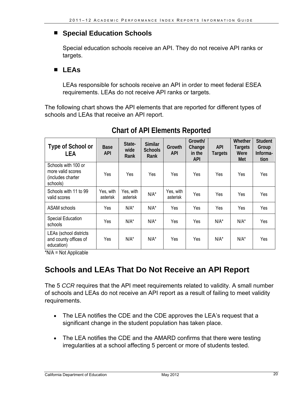#### **Special Education Schools**

Special education schools receive an API. They do not receive API ranks or targets.

#### **LEAs**

LEAs responsible for schools receive an API in order to meet federal ESEA requirements. LEAs do not receive API ranks or targets.

The following chart shows the API elements that are reported for different types of schools and LEAs that receive an API report.

| Type of School or<br><b>LEA</b>                                           | Base<br><b>API</b>    | State-<br>wide<br>Rank | <b>Similar</b><br><b>Schools</b><br>Rank | Growth<br><b>API</b>  | Growth/<br>Change<br>in the<br><b>API</b> | <b>API</b><br><b>Targets</b> | Whether<br><b>Targets</b><br>Were<br>Met | <b>Student</b><br>Group<br>Informa-<br>tion |
|---------------------------------------------------------------------------|-----------------------|------------------------|------------------------------------------|-----------------------|-------------------------------------------|------------------------------|------------------------------------------|---------------------------------------------|
| Schools with 100 or<br>more valid scores<br>(includes charter<br>schools) | Yes                   | Yes                    | Yes                                      | Yes                   | Yes                                       | Yes                          | Yes                                      | Yes                                         |
| Schools with 11 to 99<br>valid scores                                     | Yes, with<br>asterisk | Yes. with<br>asterisk  | $N/A^*$                                  | Yes, with<br>asterisk | Yes                                       | Yes                          | Yes                                      | Yes                                         |
| ASAM schools                                                              | Yes                   | $N/A^*$                | $N/A^*$                                  | Yes                   | Yes                                       | Yes                          | Yes                                      | Yes                                         |
| Special Education<br>schools                                              | Yes                   | $N/A^*$                | $N/A^*$                                  | Yes                   | Yes                                       | $N/A^*$                      | $N/A^*$                                  | Yes                                         |
| LEAs (school districts<br>and county offices of<br>education)             | Yes                   | $N/A^*$                | $N/A^*$                                  | Yes                   | Yes                                       | $N/A^*$                      | $N/A^*$                                  | Yes                                         |

### **Chart of API Elements Reported**

\*N/A = Not Applicable

## **Schools and LEAs That Do Not Receive an API Report**

The 5 *CCR* requires that the API meet requirements related to validity. A small number of schools and LEAs do not receive an API report as a result of failing to meet validity requirements.

- The LEA notifies the CDE and the CDE approves the LEA's request that a significant change in the student population has taken place.
- The LEA notifies the CDE and the AMARD confirms that there were testing irregularities at a school affecting 5 percent or more of students tested.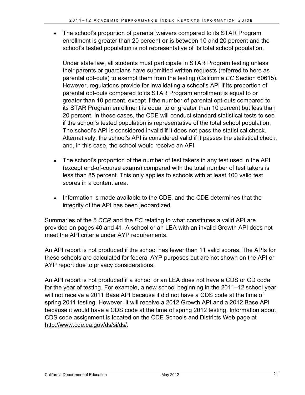The school's proportion of parental waivers compared to its STAR Program enrollment is greater than 20 percent **or** is between 10 and 20 percent and the school's tested population is not representative of its total school population.

Under state law, all students must participate in STAR Program testing unless their parents or guardians have submitted written requests (referred to here as parental opt-outs) to exempt them from the testing (California *EC* Section 60615). However, regulations provide for invalidating a school's API if its proportion of parental opt-outs compared to its STAR Program enrollment is equal to or greater than 10 percent, except if the number of parental opt-outs compared to its STAR Program enrollment is equal to or greater than 10 percent but less than 20 percent. In these cases, the CDE will conduct standard statistical tests to see if the school's tested population is representative of the total school population. The school's API is considered invalid if it does not pass the statistical check. Alternatively, the school's API is considered valid if it passes the statistical check, and, in this case, the school would receive an API.

- The school's proportion of the number of test takers in any test used in the API (except end-of-course exams) compared with the total number of test takers is less than 85 percent. This only applies to schools with at least 100 valid test scores in a content area.
- Information is made available to the CDE, and the CDE determines that the integrity of the API has been jeopardized.

Summaries of the 5 *CCR* and the *EC* relating to what constitutes a valid API are provided on pages 40 and 41. A school or an LEA with an invalid Growth API does not meet the API criteria under AYP requirements.

An API report is not produced if the school has fewer than 11 valid scores. The APIs for these schools are calculated for federal AYP purposes but are not shown on the API or AYP report due to privacy considerations.

An API report is not produced if a school or an LEA does not have a CDS or CD code for the year of testing. For example, a new school beginning in the 2011–12 school year will not receive a 2011 Base API because it did not have a CDS code at the time of spring 2011 testing. However, it will receive a 2012 Growth API and a 2012 Base API because it would have a CDS code at the time of spring 2012 testing. Information about CDS code assignment is located on the CDE Schools and Districts Web page at http://www.cde.ca.gov/ds/si/ds/.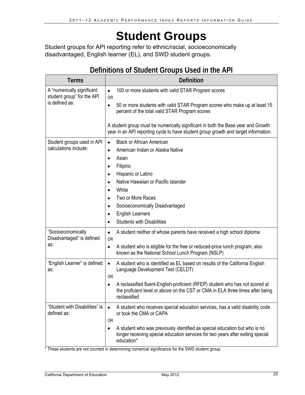## **Student Groups**

Student groups for API reporting refer to ethnic/racial, socioeconomically disadvantaged, English learner (EL), and SWD student groups.

## **Definitions of Student Groups Used in the API**

| <b>Terms</b>                                                               | <b>Definition</b>                                                                                                                                                                              |
|----------------------------------------------------------------------------|------------------------------------------------------------------------------------------------------------------------------------------------------------------------------------------------|
| A "numerically significant<br>student group" for the API<br>is defined as: | 100 or more students with valid STAR Program scores<br>$\bullet$<br><b>OR</b>                                                                                                                  |
|                                                                            | 50 or more students with valid STAR Program scores who make up at least 15<br>$\bullet$<br>percent of the total valid STAR Program scores                                                      |
|                                                                            | A student group must be numerically significant in both the Base year and Growth<br>year in an API reporting cycle to have student group growth and target information.                        |
| Student groups used in API                                                 | <b>Black or African American</b><br>$\bullet$                                                                                                                                                  |
| calculations include:                                                      | American Indian or Alaska Native<br>$\bullet$                                                                                                                                                  |
|                                                                            | Asian<br>$\bullet$                                                                                                                                                                             |
|                                                                            | Filipino<br>$\bullet$                                                                                                                                                                          |
|                                                                            | Hispanic or Latino<br>$\bullet$                                                                                                                                                                |
|                                                                            | Native Hawaiian or Pacific Islander<br>$\bullet$                                                                                                                                               |
|                                                                            | White<br>$\bullet$                                                                                                                                                                             |
|                                                                            | Two or More Races<br>$\bullet$                                                                                                                                                                 |
|                                                                            | Socioeconomically Disadvantaged<br>$\bullet$                                                                                                                                                   |
|                                                                            | <b>English Learners</b><br>$\bullet$                                                                                                                                                           |
|                                                                            | <b>Students with Disabilities</b><br>$\bullet$                                                                                                                                                 |
| "Socioeconomically<br>Disadvantaged" is defined                            | A student neither of whose parents have received a high school diploma<br>$\bullet$<br><b>OR</b>                                                                                               |
| as:                                                                        | A student who is eligible for the free or reduced-price lunch program, also<br>$\bullet$<br>known as the National School Lunch Program (NSLP)                                                  |
| "English Learner" is defined<br>as:                                        | A student who is identified as EL based on results of the California English<br>$\bullet$<br>Language Development Test (CELDT)<br><b>OR</b>                                                    |
|                                                                            | A reclassified fluent-English-proficient (RFEP) student who has not scored at<br>$\bullet$                                                                                                     |
|                                                                            | the proficient level or above on the CST or CMA in ELA three times after being<br>reclassified                                                                                                 |
| "Student with Disabilities" is<br>defined as:                              | A student who receives special education services, has a valid disability code<br>$\bullet$<br>or took the CMA or CAPA                                                                         |
|                                                                            | 0R<br>A student who was previously identified as special education but who is no<br>$\bullet$<br>longer receiving special education services for two years after exiting special<br>education* |

\* These students are not counted in determining numerical significance for the SWD student group.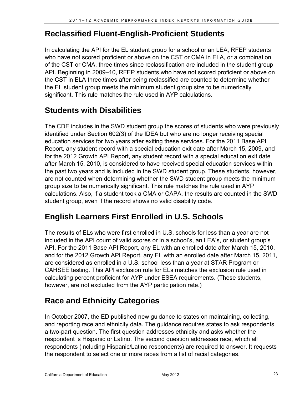## **Reclassified Fluent-English-Proficient Students**

In calculating the API for the EL student group for a school or an LEA, RFEP students who have not scored proficient or above on the CST or CMA in ELA, or a combination of the CST or CMA, three times since reclassification are included in the student group API. Beginning in 2009–10, RFEP students who have not scored proficient or above on the CST in ELA three times after being reclassified are counted to determine whether the EL student group meets the minimum student group size to be numerically significant. This rule matches the rule used in AYP calculations.

## **Students with Disabilities**

The CDE includes in the SWD student group the scores of students who were previously identified under Section 602(3) of the IDEA but who are no longer receiving special education services for two years after exiting these services. For the 2011 Base API Report, any student record with a special education exit date after March 15, 2009, and for the 2012 Growth API Report, any student record with a special education exit date after March 15, 2010, is considered to have received special education services within the past two years and is included in the SWD student group. These students, however, are not counted when determining whether the SWD student group meets the minimum group size to be numerically significant. This rule matches the rule used in AYP calculations. Also, if a student took a CMA or CAPA, the results are counted in the SWD student group, even if the record shows no valid disability code.

## **English Learners First Enrolled in U.S. Schools**

The results of ELs who were first enrolled in U.S. schools for less than a year are not included in the API count of valid scores or in a school's, an LEA's, or student group's API. For the 2011 Base API Report, any EL with an enrolled date after March 15, 2010, and for the 2012 Growth API Report, any EL with an enrolled date after March 15, 2011, are considered as enrolled in a U.S. school less than a year at STAR Program or CAHSEE testing. This API exclusion rule for ELs matches the exclusion rule used in calculating percent proficient for AYP under ESEA requirements. (These students, however, are not excluded from the AYP participation rate.)

## **Race and Ethnicity Categories**

In October 2007, the ED published new guidance to states on maintaining, collecting, and reporting race and ethnicity data. The guidance requires states to ask respondents a two-part question. The first question addresses ethnicity and asks whether the respondent is Hispanic or Latino. The second question addresses race, which all respondents (including Hispanic/Latino respondents) are required to answer. It requests the respondent to select one or more races from a list of racial categories.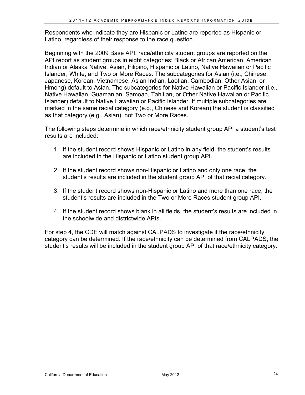Respondents who indicate they are Hispanic or Latino are reported as Hispanic or Latino, regardless of their response to the race question.

Beginning with the 2009 Base API, race/ethnicity student groups are reported on the API report as student groups in eight categories: Black or African American, American Indian or Alaska Native, Asian, Filipino, Hispanic or Latino, Native Hawaiian or Pacific Islander, White, and Two or More Races. The subcategories for Asian (i.e., Chinese, Japanese, Korean, Vietnamese, Asian Indian, Laotian, Cambodian, Other Asian, or Hmong) default to Asian. The subcategories for Native Hawaiian or Pacific Islander (i.e., Native Hawaiian, Guamanian, Samoan, Tahitian, or Other Native Hawaiian or Pacific Islander) default to Native Hawaiian or Pacific Islander. If multiple subcategories are marked in the same racial category (e.g., Chinese and Korean) the student is classified as that category (e.g., Asian), not Two or More Races.

The following steps determine in which race/ethnicity student group API a student's test results are included:

- 1. If the student record shows Hispanic or Latino in any field, the student's results are included in the Hispanic or Latino student group API.
- 2. If the student record shows non-Hispanic or Latino and only one race, the student's results are included in the student group API of that racial category.
- 3. If the student record shows non-Hispanic or Latino and more than one race, the student's results are included in the Two or More Races student group API.
- 4. If the student record shows blank in all fields, the student's results are included in the schoolwide and districtwide APIs.

For step 4, the CDE will match against CALPADS to investigate if the race/ethnicity category can be determined. If the race/ethnicity can be determined from CALPADS, the student's results will be included in the student group API of that race/ethnicity category.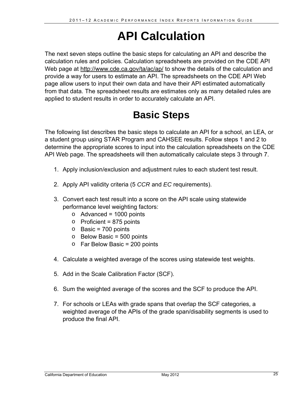## **API Calculation**

The next seven steps outline the basic steps for calculating an API and describe the calculation rules and policies. Calculation spreadsheets are provided on the CDE API Web page at http://www.cde.ca.gov/ta/ac/ap/ to show the details of the calculation and provide a way for users to estimate an API. The spreadsheets on the CDE API Web page allow users to input their own data and have their API estimated automatically from that data. The spreadsheet results are estimates only as many detailed rules are applied to student results in order to accurately calculate an API.

## **Basic Steps**

The following list describes the basic steps to calculate an API for a school, an LEA, or a student group using STAR Program and CAHSEE results. Follow steps 1 and 2 to determine the appropriate scores to input into the calculation spreadsheets on the CDE API Web page. The spreadsheets will then automatically calculate steps 3 through 7.

- 1. Apply inclusion/exclusion and adjustment rules to each student test result.
- 2. Apply API validity criteria (5 *CCR* and *EC* requirements).
- 3. Convert each test result into a score on the API scale using statewide performance level weighting factors:
	- $\circ$  Advanced = 1000 points
	- o Proficient = 875 points
	- $\circ$  Basic = 700 points
	- $\circ$  Below Basic = 500 points
	- o Far Below Basic = 200 points
- 4. Calculate a weighted average of the scores using statewide test weights.
- 5. Add in the Scale Calibration Factor (SCF).
- 6. Sum the weighted average of the scores and the SCF to produce the API.
- 7. For schools or LEAs with grade spans that overlap the SCF categories, a weighted average of the APIs of the grade span/disability segments is used to produce the final API.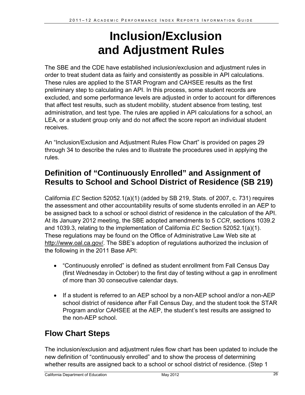## **Inclusion/Exclusion and Adjustment Rules**

The SBE and the CDE have established inclusion/exclusion and adjustment rules in order to treat student data as fairly and consistently as possible in API calculations. These rules are applied to the STAR Program and CAHSEE results as the first preliminary step to calculating an API. In this process, some student records are excluded, and some performance levels are adjusted in order to account for differences that affect test results, such as student mobility, student absence from testing, test administration, and test type. The rules are applied in API calculations for a school, an LEA, or a student group only and do not affect the score report an individual student receives.

An "Inclusion/Exclusion and Adjustment Rules Flow Chart" is provided on pages 29 through 34 to describe the rules and to illustrate the procedures used in applying the rules.

## **Definition of "Continuously Enrolled" and Assignment of Results to School and School District of Residence (SB 219)**

California *EC* Section 52052.1(a)(1) (added by SB 219, Stats. of 2007, c. 731) requires the assessment and other accountability results of some students enrolled in an AEP to be assigned back to a school or school district of residence in the calculation of the API. At its January 2012 meeting, the SBE adopted amendments to 5 *CCR*, sections 1039.2 and 1039.3, relating to the implementation of California *EC* Section 52052.1(a)(1). These regulations may be found on the Office of Administrative Law Web site at http://www.oal.ca.gov/. The SBE's adoption of regulations authorized the inclusion of the following in the 2011 Base API:

- "Continuously enrolled" is defined as student enrollment from Fall Census Day (first Wednesday in October) to the first day of testing without a gap in enrollment of more than 30 consecutive calendar days.
- If a student is referred to an AEP school by a non-AEP school and/or a non-AEP school district of residence after Fall Census Day, and the student took the STAR Program and/or CAHSEE at the AEP, the student's test results are assigned to the non-AEP school.

## **Flow Chart Steps**

The inclusion/exclusion and adjustment rules flow chart has been updated to include the new definition of "continuously enrolled" and to show the process of determining whether results are assigned back to a school or school district of residence. (Step 1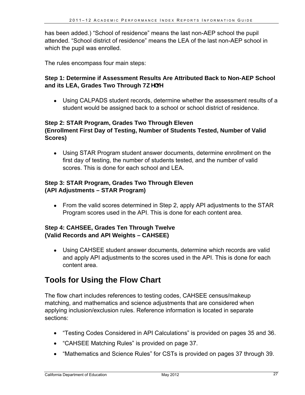has been added.) "School of residence" means the last non-AEP school the pupil attended. "School district of residence" means the LEA of the last non-AEP school in which the pupil was enrolled.

The rules encompass four main steps:

#### **Step 1: Determine if Assessment Results Are Attributed Back to Non-AEP School**  and its LEA, Grades Two Through Hk Yi Y

 Using CALPADS student records, determine whether the assessment results of a student would be assigned back to a school or school district of residence.

#### **Step 2: STAR Program, Grades Two Through Eleven (Enrollment First Day of Testing, Number of Students Tested, Number of Valid Scores)**

 Using STAR Program student answer documents, determine enrollment on the first day of testing, the number of students tested, and the number of valid scores. This is done for each school and LEA.

#### **Step 3: STAR Program, Grades Two Through Eleven (API Adjustments – STAR Program)**

• From the valid scores determined in Step 2, apply API adjustments to the STAR Program scores used in the API. This is done for each content area.

#### **Step 4: CAHSEE, Grades Ten Through Twelve (Valid Records and API Weights – CAHSEE)**

 Using CAHSEE student answer documents, determine which records are valid and apply API adjustments to the scores used in the API. This is done for each content area.

## **Tools for Using the Flow Chart**

The flow chart includes references to testing codes, CAHSEE census/makeup matching, and mathematics and science adjustments that are considered when applying inclusion/exclusion rules. Reference information is located in separate sections:

- "Testing Codes Considered in API Calculations" is provided on pages 35 and 36.
- "CAHSEE Matching Rules" is provided on page 37.
- "Mathematics and Science Rules" for CSTs is provided on pages 37 through 39.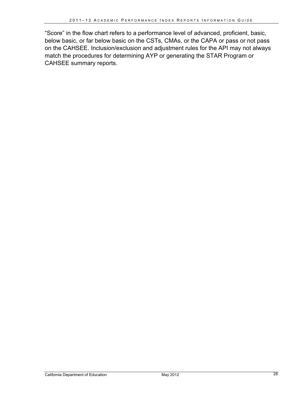"Score" in the flow chart refers to a performance level of advanced, proficient, basic, below basic, or far below basic on the CSTs, CMAs, or the CAPA or pass or not pass on the CAHSEE. Inclusion/exclusion and adjustment rules for the API may not always match the procedures for determining AYP or generating the STAR Program or CAHSEE summary reports.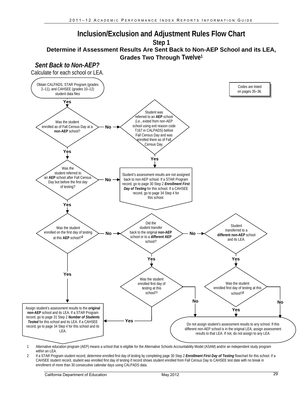

<sup>1</sup> Alternative education program (AEP) means a school that is eligible for the Alternative Schools Accountability Model (ASAM) and/or an independent study program within an LEA.

2 If a STAR Program student record, determine enrolled first day of testing by completing page 30 Step 2 *Enrollment First Day of Testing* flowchart for this school. If a CAHSEE student record, student was enrolled first day of testing if record shows student enrolled from Fall Census Day to CAHSEE test date with no break in enrollment of more than 30 consecutive calendar days using CALPADS data.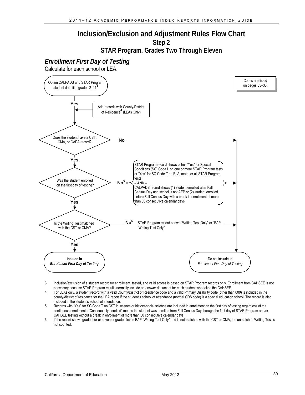#### **Inclusion/Exclusion and Adjustment Rules Flow Chart Step 2**

#### **STAR Program, Grades Two Through Eleven**

#### *Enrollment First Day of Testing*

Calculate for each school or LEA.



- 3 Inclusion/exclusion of a student record for enrollment, tested, and valid scores is based on STAR Program records only. Enrollment from CAHSEE is not necessary because STAR Program results normally include an answer document for each student who takes the CAHSEE.
- 4 For LEAs only, a student record with a valid County/District of Residence code and a valid Primary Disability code (other than 000) is included in the county/district of residence for the LEA report if the student's school of attendance (normal CDS code) is a special education school. The record is also included in the student's school of attendance.
- 5 Records with "Yes" for SC Code T on CST in science or history-social science are included in enrollment on the first day of testing regardless of the continuous enrollment. ("Continuously enrolled" means the student was enrolled from Fall Census Day through the first day of STAR Program and/or CAHSEE testing without a break in enrollment of more than 30 consecutive calendar days.)
- 6 If the record shows grade four or seven or grade eleven EAP "Writing Test Only" and is not matched with the CST or CMA, the unmatched Writing Test is not counted.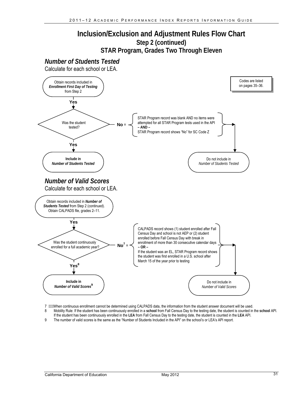#### **Inclusion/Exclusion and Adjustment Rules Flow Chart Step 2 (continued) STAR Program, Grades Two Through Eleven**

#### *Number of Students Tested*

Calculate for each school or LEA.



7 When continuous enrollment cannot be determined using CALPADS data, the information from the student answer document will be used.

 If the student has been continuously enrolled in the **LEA** from Fall Census Day to the testing date, the student is counted in the **LEA** API. 8 Mobility Rule: If the student has been continuously enrolled in a **school** from Fall Census Day to the testing date, the student is counted in the **school** API.

9 The number of valid scores is the same as the "Number of Students Included in the API" on the school's or LEA's API report.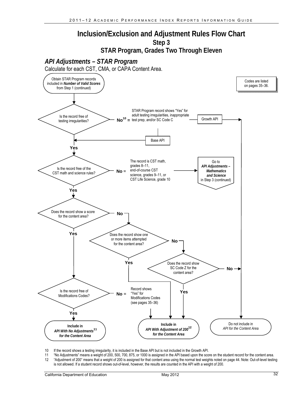#### **Inclusion/Exclusion and Adjustment Rules Flow Chart Step 3**

**STAR Program, Grades Two Through Eleven** 



Calculate for each CST, CMA, or CAPA Content Area.



- 10 If the record shows a testing irregularity, it is included in the Base API but is not included in the Growth API.
- 11 "No Adjustments" means a weight of 200, 500, 700, 875, or 1000 is assigned in the API based upon the score on the student record for the content area.<br>12 "Adjustment of 200" means that a weight of 200 is assigned for th 12 "Adjustment of 200" means that a weight of 200 is assigned for that content area using the normal test weights noted on page 44. Note: Out-of-level testing is not allowed. If a student record shows out-of-level, however, the results are counted in the API with a weight of 200.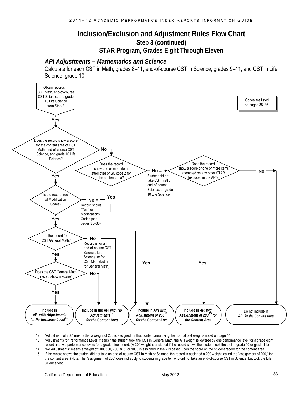#### **Inclusion/Exclusion and Adjustment Rules Flow Chart Step 3 (continued) STAR Program, Grades Eight Through Eleven**

#### *API Adjustments – Mathematics and Science*

Calculate for each CST in Math, grades 8–11; end-of-course CST in Science, grades 9–11; and CST in Life Science, grade 10.



12 "Adjustment of 200" means that a weight of 200 is assigned for that content area using the normal test weights noted on page 44.

13 "Adjustments for Performance Level" means if the student took the CST in General Math, the API weight is lowered by one performance level for a grade eight

record and two performance levels for a grade nine record. (A 200 weight is assigned if the record shows the student took the test in grade 10 or grade 11.)

14 "No Adjustments" means a weight of 200, 500, 700, 875, or 1000 is assigned in the API based upon the score on the student record for the content area. 15 If the record shows the student did not take an end-of-course CST in Math or Science, the record is assigned a 200 weight, called the "assignment of 200," for the content area. (Note: The "assignment of 200" does not apply to students in grade ten who did not take an end-of-course CST in Science, but took the Life Science test.)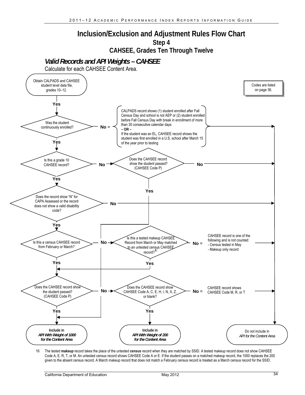#### **Inclusion/Exclusion and Adjustment Rules Flow Chart Step 4**

**CAHSEE, Grades Ten Through Twelve** 

*Valid Records and API Weights – CAHSEE* 

Calculate for each CAHSEE Content Area.



16 The tested **makeup** record takes the place of the untested **census** record when they are matched by SSID. A tested makeup record does not show CAHSEE Code A, E, R, T, or M. An untested census record shows CAHSEE Code A or E. If the student passes on a matched makeup record, the 1000 replaces the 200 given to the absent census record. A March makeup record that does not match a February census record is treated as a March census record for the SSID.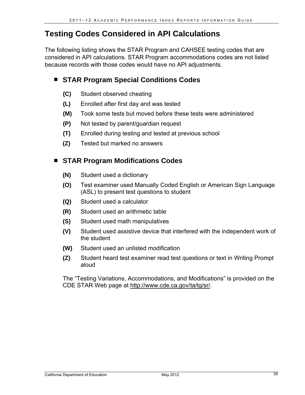## **Testing Codes Considered in API Calculations**

The following listing shows the STAR Program and CAHSEE testing codes that are considered in API calculations. STAR Program accommodations codes are not listed because records with those codes would have no API adjustments.

#### **STAR Program Special Conditions Codes**

- **(C)** Student observed cheating
- **(L)** Enrolled after first day and was tested
- **(M)** Took some tests but moved before these tests were administered
- **(P)** Not tested by parent/guardian request
- **(T)** Enrolled during testing and tested at previous school
- **(Z)** Tested but marked no answers

#### **STAR Program Modifications Codes**

- **(N)** Student used a dictionary
- **(O)** Test examiner used Manually Coded English or American Sign Language (ASL) to present test questions to student
- **(Q)** Student used a calculator
- **(R)** Student used an arithmetic table
- **(S)** Student used math manipulatives
- **(V)** Student used assistive device that interfered with the independent work of the student
- **(W)** Student used an unlisted modification
- **(Z)** Student heard test examiner read test questions or text in Writing Prompt aloud

The "Testing Variations, Accommodations, and Modifications" is provided on the CDE STAR Web page at http://www.cde.ca.gov/ta/tg/sr/.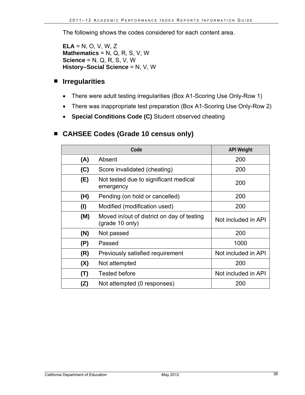The following shows the codes considered for each content area.

**ELA** = N, O, V, W, Z **Mathematics** = N, Q, R, S, V, W **Science** = N, Q, R, S, V, W **History–Social Science** = N, V, W

#### **Irregularities**

- There were adult testing irregularities (Box A1-Scoring Use Only-Row 1)
- There was inappropriate test preparation (Box A1-Scoring Use Only-Row 2)
- **Special Conditions Code (C)** Student observed cheating

#### **CAHSEE Codes (Grade 10 census only)**

|     | <b>API Weight</b>                                             |                     |
|-----|---------------------------------------------------------------|---------------------|
| (A) | Absent                                                        | 200                 |
| (C) | Score invalidated (cheating)                                  | 200                 |
| (E) | Not tested due to significant medical<br>emergency            | 200                 |
| (H) | Pending (on hold or cancelled)                                | 200                 |
| (1) | Modified (modification used)                                  | 200                 |
| (M) | Moved in/out of district on day of testing<br>(grade 10 only) | Not included in API |
| (N) | Not passed                                                    | 200                 |
| (P) | Passed                                                        | 1000                |
| (R) | Previously satisfied requirement                              | Not included in API |
| (X) | Not attempted                                                 | 200                 |
| (T) | <b>Tested before</b>                                          | Not included in API |
| (Z) | Not attempted (0 responses)                                   | 200                 |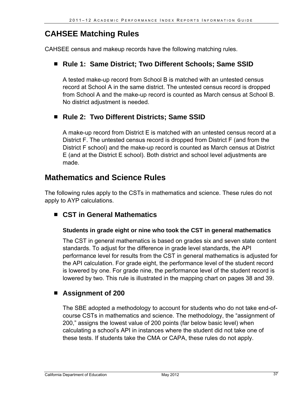## **CAHSEE Matching Rules**

CAHSEE census and makeup records have the following matching rules.

#### ■ Rule 1: Same District; Two Different Schools; Same SSID

A tested make-up record from School B is matched with an untested census record at School A in the same district. The untested census record is dropped from School A and the make-up record is counted as March census at School B. No district adjustment is needed.

#### ■ Rule 2: Two Different Districts; Same SSID

A make-up record from District E is matched with an untested census record at a District F. The untested census record is dropped from District F (and from the District F school) and the make-up record is counted as March census at District E (and at the District E school). Both district and school level adjustments are made.

### **Mathematics and Science Rules**

The following rules apply to the CSTs in mathematics and science. These rules do not apply to AYP calculations.

#### **CST in General Mathematics**

#### **Students in grade eight or nine who took the CST in general mathematics**

The CST in general mathematics is based on grades six and seven state content standards. To adjust for the difference in grade level standards, the API performance level for results from the CST in general mathematics is adjusted for the API calculation. For grade eight, the performance level of the student record is lowered by one. For grade nine, the performance level of the student record is lowered by two. This rule is illustrated in the mapping chart on pages 38 and 39.

#### **Assignment of 200**

The SBE adopted a methodology to account for students who do not take end-ofcourse CSTs in mathematics and science. The methodology, the "assignment of 200," assigns the lowest value of 200 points (far below basic level) when calculating a school's API in instances where the student did not take one of these tests. If students take the CMA or CAPA, these rules do not apply.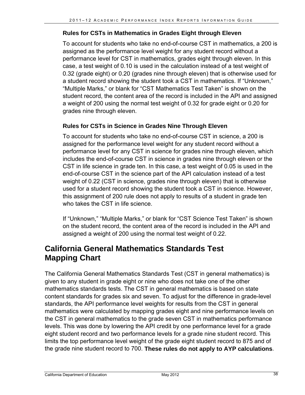#### **Rules for CSTs in Mathematics in Grades Eight through Eleven**

To account for students who take no end-of-course CST in mathematics, a 200 is assigned as the performance level weight for any student record without a performance level for CST in mathematics, grades eight through eleven. In this case, a test weight of 0.10 is used in the calculation instead of a test weight of 0.32 (grade eight) or 0.20 (grades nine through eleven) that is otherwise used for a student record showing the student took a CST in mathematics. If "Unknown," "Multiple Marks," or blank for "CST Mathematics Test Taken" is shown on the student record, the content area of the record is included in the API and assigned a weight of 200 using the normal test weight of 0.32 for grade eight or 0.20 for grades nine through eleven.

#### **Rules for CSTs in Science in Grades Nine Through Eleven**

To account for students who take no end-of-course CST in science, a 200 is assigned for the performance level weight for any student record without a performance level for any CST in science for grades nine through eleven, which includes the end-of-course CST in science in grades nine through eleven or the CST in life science in grade ten. In this case, a test weight of 0.05 is used in the end-of-course CST in the science part of the API calculation instead of a test weight of 0.22 (CST in science, grades nine through eleven) that is otherwise used for a student record showing the student took a CST in science. However, this assignment of 200 rule does not apply to results of a student in grade ten who takes the CST in life science.

If "Unknown," "Multiple Marks," or blank for "CST Science Test Taken" is shown on the student record, the content area of the record is included in the API and assigned a weight of 200 using the normal test weight of 0.22.

### **California General Mathematics Standards Test Mapping Chart**

The California General Mathematics Standards Test (CST in general mathematics) is given to any student in grade eight or nine who does not take one of the other mathematics standards tests. The CST in general mathematics is based on state content standards for grades six and seven. To adjust for the difference in grade-level standards, the API performance level weights for results from the CST in general mathematics were calculated by mapping grades eight and nine performance levels on the CST in general mathematics to the grade seven CST in mathematics performance levels. This was done by lowering the API credit by one performance level for a grade eight student record and two performance levels for a grade nine student record. This limits the top performance level weight of the grade eight student record to 875 and of the grade nine student record to 700. **These rules do not apply to AYP calculations**.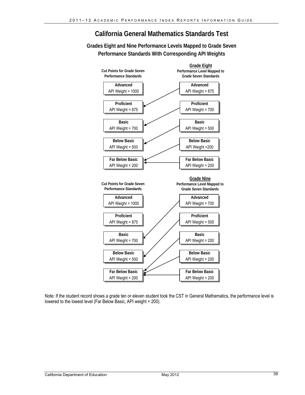**California General Mathematics Standards Test** 

**Grades Eight and Nine Performance Levels Mapped to Grade Seven Performance Standards With Corresponding API Weights**



Note: If the student record shows a grade ten or eleven student took the CST in General Mathematics, the performance level is lowered to the lowest level (Far Below Basic, API weight = 200).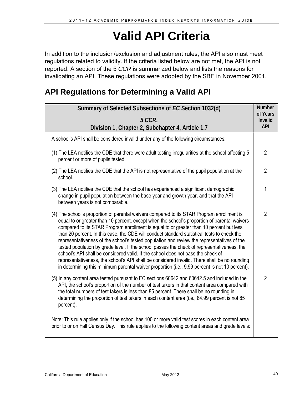## **Valid API Criteria**

In addition to the inclusion/exclusion and adjustment rules, the API also must meet regulations related to validity. If the criteria listed below are not met, the API is not reported. A section of the 5 *CCR* is summarized below and lists the reasons for invalidating an API. These regulations were adopted by the SBE in November 2001.

## **API Regulations for Determining a Valid API**

| Summary of Selected Subsections of EC Section 1032(d)                                                                                                                                                                                                                                                                                                                                                                                                                                                                                                                                                                                                                                                                                                                                                                                                                   | <b>Number</b><br>of Years |
|-------------------------------------------------------------------------------------------------------------------------------------------------------------------------------------------------------------------------------------------------------------------------------------------------------------------------------------------------------------------------------------------------------------------------------------------------------------------------------------------------------------------------------------------------------------------------------------------------------------------------------------------------------------------------------------------------------------------------------------------------------------------------------------------------------------------------------------------------------------------------|---------------------------|
| 5 CCR.<br>Division 1, Chapter 2, Subchapter 4, Article 1.7                                                                                                                                                                                                                                                                                                                                                                                                                                                                                                                                                                                                                                                                                                                                                                                                              | Invalid<br><b>API</b>     |
| A school's API shall be considered invalid under any of the following circumstances:                                                                                                                                                                                                                                                                                                                                                                                                                                                                                                                                                                                                                                                                                                                                                                                    |                           |
| (1) The LEA notifies the CDE that there were adult testing irregularities at the school affecting 5<br>percent or more of pupils tested.                                                                                                                                                                                                                                                                                                                                                                                                                                                                                                                                                                                                                                                                                                                                | $\overline{2}$            |
| (2) The LEA notifies the CDE that the API is not representative of the pupil population at the<br>school.                                                                                                                                                                                                                                                                                                                                                                                                                                                                                                                                                                                                                                                                                                                                                               | $\overline{2}$            |
| (3) The LEA notifies the CDE that the school has experienced a significant demographic<br>change in pupil population between the base year and growth year, and that the API<br>between years is not comparable.                                                                                                                                                                                                                                                                                                                                                                                                                                                                                                                                                                                                                                                        | 1                         |
| (4) The school's proportion of parental waivers compared to its STAR Program enrollment is<br>equal to or greater than 10 percent, except when the school's proportion of parental waivers<br>compared to its STAR Program enrollment is equal to or greater than 10 percent but less<br>than 20 percent. In this case, the CDE will conduct standard statistical tests to check the<br>representativeness of the school's tested population and review the representatives of the<br>tested population by grade level. If the school passes the check of representativeness, the<br>school's API shall be considered valid. If the school does not pass the check of<br>representativeness, the school's API shall be considered invalid. There shall be no rounding<br>in determining this minimum parental waiver proportion (i.e., 9.99 percent is not 10 percent). | $\overline{2}$            |
| (5) In any content area tested pursuant to EC sections 60642 and 60642.5 and included in the<br>API, the school's proportion of the number of test takers in that content area compared with<br>the total numbers of test takers is less than 85 percent. There shall be no rounding in<br>determining the proportion of test takers in each content area (i.e., 84.99 percent is not 85<br>percent).                                                                                                                                                                                                                                                                                                                                                                                                                                                                   | $\overline{2}$            |
| Note: This rule applies only if the school has 100 or more valid test scores in each content area<br>prior to or on Fall Census Day. This rule applies to the following content areas and grade levels:                                                                                                                                                                                                                                                                                                                                                                                                                                                                                                                                                                                                                                                                 |                           |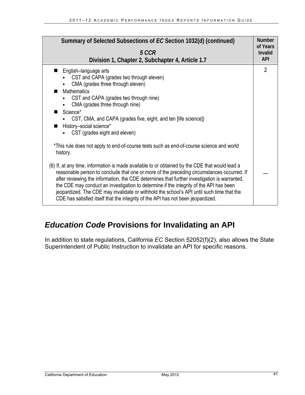| Summary of Selected Subsections of EC Section 1032(d) (continued)<br>5 CCR<br>Division 1, Chapter 2, Subchapter 4, Article 1.7                                                                                                                                                                                                                                                                                                                                                                                                                                                                                                                                                  |                |
|---------------------------------------------------------------------------------------------------------------------------------------------------------------------------------------------------------------------------------------------------------------------------------------------------------------------------------------------------------------------------------------------------------------------------------------------------------------------------------------------------------------------------------------------------------------------------------------------------------------------------------------------------------------------------------|----------------|
| English-language arts<br>CST and CAPA (grades two through eleven)<br>CMA (grades three through eleven)<br>$\bullet$<br><b>Mathematics</b><br>■<br>CST and CAPA (grades two through nine)<br>CMA (grades three through nine)<br>Science*<br>CST, CMA, and CAPA (grades five, eight, and ten [life science])<br>History-social science*<br>CST (grades eight and eleven)                                                                                                                                                                                                                                                                                                          | $\overline{2}$ |
| *This rule does not apply to end-of-course tests such as end-of-course science and world<br>history.<br>(6) If, at any time, information is made available to or obtained by the CDE that would lead a<br>reasonable person to conclude that one or more of the preceding circumstances occurred. If<br>after reviewing the information, the CDE determines that further investigation is warranted,<br>the CDE may conduct an investigation to determine if the integrity of the API has been<br>jeopardized. The CDE may invalidate or withhold the school's API until such time that the<br>CDE has satisfied itself that the integrity of the API has not been jeopardized. |                |

## *Education Code* **Provisions for Invalidating an API**

In addition to state regulations, California *EC* Section 52052(f)(2), also allows the State Superintendent of Public Instruction to invalidate an API for specific reasons.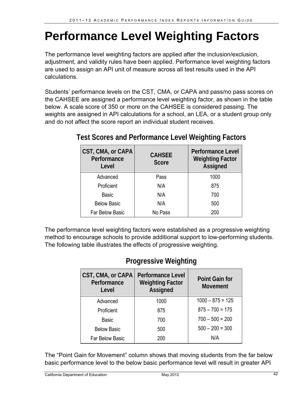## **Performance Level Weighting Factors**

The performance level weighting factors are applied after the inclusion/exclusion, adjustment, and validity rules have been applied. Performance level weighting factors are used to assign an API unit of measure across all test results used in the API calculations.

Students' performance levels on the CST, CMA, or CAPA and pass/no pass scores on the CAHSEE are assigned a performance level weighting factor, as shown in the table below. A scale score of 350 or more on the CAHSEE is considered passing. The weights are assigned in API calculations for a school, an LEA, or a student group only and do not affect the score report an individual student receives.

| <b>CST, CMA, or CAPA</b><br>Performance<br>Level | <b>CAHSEE</b><br><b>Score</b> | <b>Performance Level</b><br><b>Weighting Factor</b><br><b>Assigned</b> |
|--------------------------------------------------|-------------------------------|------------------------------------------------------------------------|
| Advanced                                         | Pass                          | 1000                                                                   |
| Proficient                                       | N/A                           | 875                                                                    |
| <b>Basic</b>                                     | N/A                           | 700                                                                    |
| <b>Below Basic</b>                               | N/A                           | 500                                                                    |
| Far Below Basic                                  | No Pass                       | 200                                                                    |

## **Test Scores and Performance Level Weighting Factors**

The performance level weighting factors were established as a progressive weighting method to encourage schools to provide additional support to low-performing students. The following table illustrates the effects of progressive weighting.

## **Progressive Weighting**

| CST, CMA, or CAPA<br>Performance<br>Level | <b>Performance Level</b><br><b>Weighting Factor</b><br>Assigned | <b>Point Gain for</b><br><b>Movement</b> |
|-------------------------------------------|-----------------------------------------------------------------|------------------------------------------|
| Advanced                                  | 1000                                                            | $1000 - 875 = 125$                       |
| Proficient                                | 875                                                             | $875 - 700 = 175$                        |
| <b>Basic</b>                              | 700                                                             | $700 - 500 = 200$                        |
| <b>Below Basic</b>                        | 500                                                             | $500 - 200 = 300$                        |
| <b>Far Below Basic</b>                    | 200                                                             | N/A                                      |

The "Point Gain for Movement" column shows that moving students from the far below basic performance level to the below basic performance level will result in greater API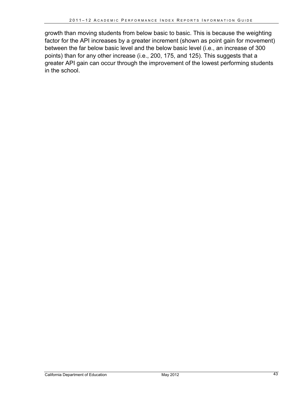growth than moving students from below basic to basic. This is because the weighting factor for the API increases by a greater increment (shown as point gain for movement) between the far below basic level and the below basic level (i.e., an increase of 300 points) than for any other increase (i.e., 200, 175, and 125). This suggests that a greater API gain can occur through the improvement of the lowest performing students in the school.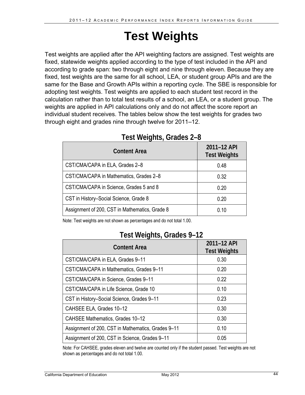## **Test Weights**

Test weights are applied after the API weighting factors are assigned. Test weights are fixed, statewide weights applied according to the type of test included in the API and according to grade span: two through eight and nine through eleven. Because they are fixed, test weights are the same for all school, LEA, or student group APIs and are the same for the Base and Growth APIs within a reporting cycle. The SBE is responsible for adopting test weights. Test weights are applied to each student test record in the calculation rather than to total test results of a school, an LEA, or a student group. The weights are applied in API calculations only and do not affect the score report an individual student receives. The tables below show the test weights for grades two through eight and grades nine through twelve for 2011–12.

| <b>Content Area</b>                            | 2011-12 API<br><b>Test Weights</b> |
|------------------------------------------------|------------------------------------|
| CST/CMA/CAPA in ELA, Grades 2-8                | 0.48                               |
| CST/CMA/CAPA in Mathematics, Grades 2-8        | 0.32                               |
| CST/CMA/CAPA in Science, Grades 5 and 8        | 0.20                               |
| CST in History-Social Science, Grade 8         | 0.20                               |
| Assignment of 200, CST in Mathematics, Grade 8 | 0.10                               |

#### **Test Weights, Grades 2–8**

Note: Test weights are not shown as percentages and do not total 1.00.

### **Test Weights, Grades 9–12**

| <b>Content Area</b>                                | 2011-12 API<br><b>Test Weights</b> |
|----------------------------------------------------|------------------------------------|
| CST/CMA/CAPA in ELA, Grades 9-11                   | 0.30                               |
| CST/CMA/CAPA in Mathematics, Grades 9-11           | 0.20                               |
| CST/CMA/CAPA in Science, Grades 9-11               | 0.22                               |
| CST/CMA/CAPA in Life Science, Grade 10             | 0.10                               |
| CST in History-Social Science, Grades 9-11         | 0.23                               |
| CAHSEE ELA, Grades 10-12                           | 0.30                               |
| CAHSEE Mathematics, Grades 10-12                   | 0.30                               |
| Assignment of 200, CST in Mathematics, Grades 9-11 | 0.10                               |
| Assignment of 200, CST in Science, Grades 9-11     | 0.05                               |

Note: For CAHSEE, grades eleven and twelve are counted only if the student passed. Test weights are not shown as percentages and do not total 1.00.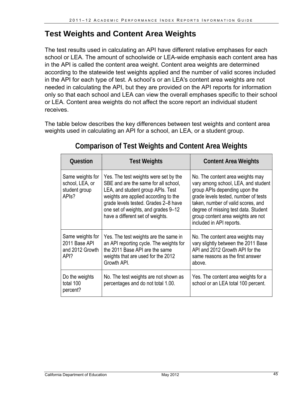## **Test Weights and Content Area Weights**

The test results used in calculating an API have different relative emphases for each school or LEA. The amount of schoolwide or LEA-wide emphasis each content area has in the API is called the content area weight. Content area weights are determined according to the statewide test weights applied and the number of valid scores included in the API for each type of test. A school's or an LEA's content area weights are not needed in calculating the API, but they are provided on the API reports for information only so that each school and LEA can view the overall emphases specific to their school or LEA. Content area weights do not affect the score report an individual student receives.

The table below describes the key differences between test weights and content area weights used in calculating an API for a school, an LEA, or a student group.

| <b>Question</b>                                                            | <b>Test Weights</b>                                                                                                                                                                                                                                                           | <b>Content Area Weights</b>                                                                                                                                                                                                                                                                      |
|----------------------------------------------------------------------------|-------------------------------------------------------------------------------------------------------------------------------------------------------------------------------------------------------------------------------------------------------------------------------|--------------------------------------------------------------------------------------------------------------------------------------------------------------------------------------------------------------------------------------------------------------------------------------------------|
| Same weights for<br>school, LEA, or<br>student group<br>API <sub>s</sub> ? | Yes. The test weights were set by the<br>SBE and are the same for all school,<br>LEA, and student group APIs. Test<br>weights are applied according to the<br>grade levels tested. Grades 2-8 have<br>one set of weights, and grades 9-12<br>have a different set of weights. | No. The content area weights may<br>vary among school, LEA, and student<br>group APIs depending upon the<br>grade levels tested, number of tests<br>taken, number of valid scores, and<br>degree of missing test data. Student<br>group content area weights are not<br>included in API reports. |
| Same weights for<br>2011 Base API<br>and 2012 Growth<br>API?               | Yes. The test weights are the same in<br>an API reporting cycle. The weights for<br>the 2011 Base API are the same<br>weights that are used for the 2012<br>Growth API.                                                                                                       | No. The content area weights may<br>vary slightly between the 2011 Base<br>API and 2012 Growth API for the<br>same reasons as the first answer<br>above.                                                                                                                                         |
| Do the weights<br>total 100<br>percent?                                    | No. The test weights are not shown as<br>percentages and do not total 1.00.                                                                                                                                                                                                   | Yes. The content area weights for a<br>school or an LEA total 100 percent.                                                                                                                                                                                                                       |

### **Comparison of Test Weights and Content Area Weights**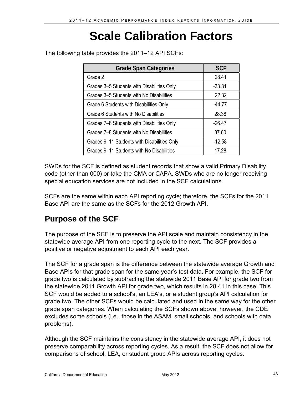## **Scale Calibration Factors**

28.41 Grade Span Categories **SCF** Grade 2 Grades 3–5 Students with Disabilities Only Fig. 33.81 Grades 3–5 Students with No Disabilities 22.32 Grade 6 Students with Disabilities Only Fig. 44.77 Grade 6 Students with No Disabilities **Constant 1. 28.38** 

Grades 9–11 Students with Disabilities Only

The following table provides the 2011–12 API SCFs:

| SWDs for the SCF is defined as student records that show a valid Primary Disability |
|-------------------------------------------------------------------------------------|
| code (other than 000) or take the CMA or CAPA. SWDs who are no longer receiving     |
| special education services are not included in the SCF calculations.                |

Grades 9–11 Students with No Disabilities 17.28

Grades 7–8 Students with Disabilities Only Fig. 26.47 Grades 7–8 Students with No Disabilities 37.60

-12.58

SCFs are the same within each API reporting cycle; therefore, the SCFs for the 2011 Base API are the same as the SCFs for the 2012 Growth API.

## **Purpose of the SCF**

The purpose of the SCF is to preserve the API scale and maintain consistency in the statewide average API from one reporting cycle to the next. The SCF provides a positive or negative adjustment to each API each year.

The SCF for a grade span is the difference between the statewide average Growth and Base APIs for that grade span for the same year's test data. For example, the SCF for grade two is calculated by subtracting the statewide 2011 Base API for grade two from the statewide 2011 Growth API for grade two, which results in 28.41 in this case. This SCF would be added to a school's, an LEA's, or a student group's API calculation for grade two. The other SCFs would be calculated and used in the same way for the other grade span categories. When calculating the SCFs shown above, however, the CDE excludes some schools (i.e., those in the ASAM, small schools, and schools with data problems).

Although the SCF maintains the consistency in the statewide average API, it does not preserve comparability across reporting cycles. As a result, the SCF does not allow for comparisons of school, LEA, or student group APIs across reporting cycles.

California Department of Education May 2012 46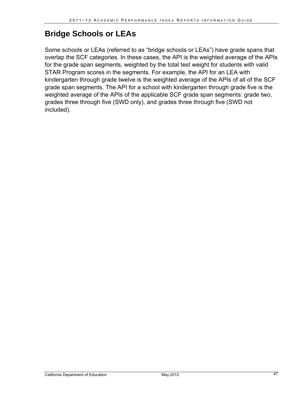## **Bridge Schools or LEAs**

Some schools or LEAs (referred to as "bridge schools or LEAs") have grade spans that overlap the SCF categories. In these cases, the API is the weighted average of the APIs for the grade span segments, weighted by the total test weight for students with valid STAR Program scores in the segments. For example, the API for an LEA with kindergarten through grade twelve is the weighted average of the APIs of all of the SCF grade span segments. The API for a school with kindergarten through grade five is the weighted average of the APIs of the applicable SCF grade span segments: grade two, grades three through five (SWD only), and grades three through five (SWD not included).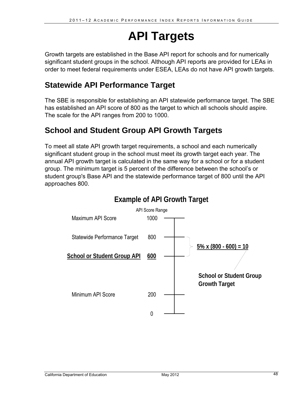## **API Targets**

Growth targets are established in the Base API report for schools and for numerically significant student groups in the school. Although API reports are provided for LEAs in order to meet federal requirements under ESEA, LEAs do not have API growth targets.

## **Statewide API Performance Target**

The SBE is responsible for establishing an API statewide performance target. The SBE has established an API score of 800 as the target to which all schools should aspire. The scale for the API ranges from 200 to 1000.

## **School and Student Group API Growth Targets**

To meet all state API growth target requirements, a school and each numerically significant student group in the school must meet its growth target each year. The annual API growth target is calculated in the same way for a school or for a student group. The minimum target is 5 percent of the difference between the school's or student group's Base API and the statewide performance target of 800 until the API approaches 800.

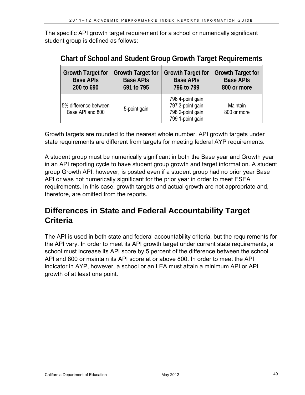The specific API growth target requirement for a school or numerically significant student group is defined as follows:

| <b>Growth Target for</b>                  | <b>Growth Target for</b> | <b>Growth Target for</b>                                                     | <b>Growth Target for</b> |
|-------------------------------------------|--------------------------|------------------------------------------------------------------------------|--------------------------|
| <b>Base APIs</b>                          | <b>Base APIs</b>         | <b>Base APIs</b>                                                             | <b>Base APIs</b>         |
| 200 to 690                                | 691 to 795               | 796 to 799                                                                   | 800 or more              |
| 5% difference between<br>Base API and 800 | 5-point gain             | 796 4-point gain<br>797 3-point gain<br>798 2-point gain<br>799 1-point gain | Maintain<br>800 or more  |

**Chart of School and Student Group Growth Target Requirements** 

Growth targets are rounded to the nearest whole number. API growth targets under state requirements are different from targets for meeting federal AYP requirements.

A student group must be numerically significant in both the Base year and Growth year in an API reporting cycle to have student group growth and target information. A student group Growth API, however, is posted even if a student group had no prior year Base API or was not numerically significant for the prior year in order to meet ESEA requirements. In this case, growth targets and actual growth are not appropriate and, therefore, are omitted from the reports.

## **Differences in State and Federal Accountability Target Criteria**

The API is used in both state and federal accountability criteria, but the requirements for the API vary. In order to meet its API growth target under current state requirements, a school must increase its API score by 5 percent of the difference between the school API and 800 or maintain its API score at or above 800. In order to meet the API indicator in AYP, however, a school or an LEA must attain a minimum API or API growth of at least one point.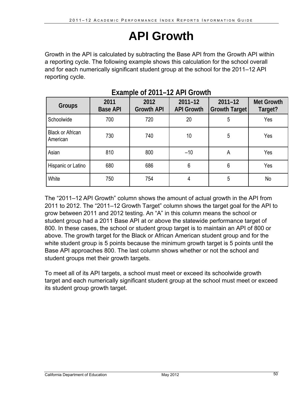## **API Growth**

Growth in the API is calculated by subtracting the Base API from the Growth API within a reporting cycle. The following example shows this calculation for the school overall and for each numerically significant student group at the school for the 2011–12 API reporting cycle.

| Groups                              | 2011<br><b>Base API</b> | 2012<br><b>Growth API</b> | $2011 - 12$<br><b>API Growth</b> | $2011 - 12$<br><b>Growth Target</b> | <b>Met Growth</b><br>Target? |
|-------------------------------------|-------------------------|---------------------------|----------------------------------|-------------------------------------|------------------------------|
| Schoolwide                          | 700                     | 720                       | 20                               | 5                                   | Yes                          |
| <b>Black or African</b><br>American | 730                     | 740                       | 10                               | 5                                   | Yes                          |
| Asian                               | 810                     | 800                       | $-10$                            | A                                   | Yes                          |
| Hispanic or Latino                  | 680                     | 686                       | 6                                | 6                                   | Yes                          |
| White                               | 750                     | 754                       | 4                                | 5                                   | No                           |

## **Example of 2011–12 API Growth**

The "2011–12 API Growth" column shows the amount of actual growth in the API from 2011 to 2012. The "2011–12 Growth Target" column shows the target goal for the API to grow between 2011 and 2012 testing. An "A" in this column means the school or student group had a 2011 Base API at or above the statewide performance target of 800. In these cases, the school or student group target is to maintain an API of 800 or above. The growth target for the Black or African American student group and for the white student group is 5 points because the minimum growth target is 5 points until the Base API approaches 800. The last column shows whether or not the school and student groups met their growth targets.

To meet all of its API targets, a school must meet or exceed its schoolwide growth target and each numerically significant student group at the school must meet or exceed its student group growth target.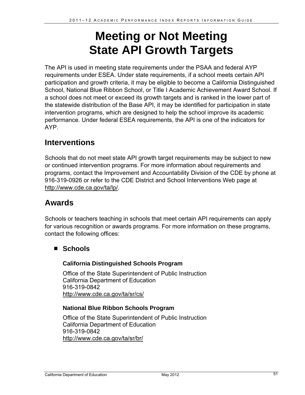## **Meeting or Not Meeting State API Growth Targets**

The API is used in meeting state requirements under the PSAA and federal AYP requirements under ESEA. Under state requirements, if a school meets certain API participation and growth criteria, it may be eligible to become a California Distinguished School, National Blue Ribbon School, or Title I Academic Achievement Award School. If a school does not meet or exceed its growth targets and is ranked in the lower part of the statewide distribution of the Base API, it may be identified for participation in state intervention programs, which are designed to help the school improve its academic performance. Under federal ESEA requirements, the API is one of the indicators for AYP.

## **Interventions**

Schools that do not meet state API growth target requirements may be subject to new or continued intervention programs. For more information about requirements and programs, contact the Improvement and Accountability Division of the CDE by phone at 916-319-0926 or refer to the CDE District and School Interventions Web page at http://www.cde.ca.gov/ta/lp/.

## **Awards**

Schools or teachers teaching in schools that meet certain API requirements can apply for various recognition or awards programs. For more information on these programs, contact the following offices:

#### **Schools**

#### **California Distinguished Schools Program**

Office of the State Superintendent of Public Instruction California Department of Education 916-319-0842 http://www.cde.ca.gov/ta/sr/cs/

#### **National Blue Ribbon Schools Program**

Office of the State Superintendent of Public Instruction California Department of Education 916-319-0842 http://www.cde.ca.gov/ta/sr/br/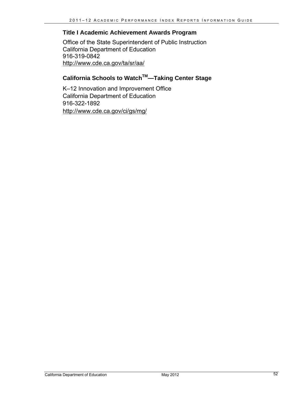#### **Title I Academic Achievement Awards Program**

Office of the State Superintendent of Public Instruction California Department of Education 916-319-0842 http://www.cde.ca.gov/ta/sr/aa/

#### California Schools to Watch<sup>™</sup>—Taking Center Stage

K–12 Innovation and Improvement Office California Department of Education 916-322-1892 http://www.cde.ca.gov/ci/gs/mg/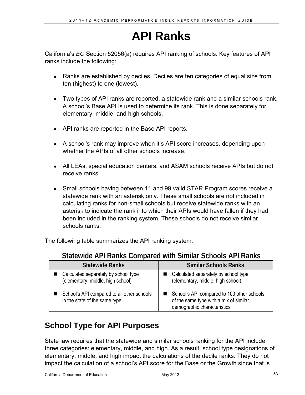## **API Ranks**

California's *EC* Section 52056(a) requires API ranking of schools. Key features of API ranks include the following:

- Ranks are established by deciles. Deciles are ten categories of equal size from ten (highest) to one (lowest).
- Two types of API ranks are reported, a statewide rank and a similar schools rank. A school's Base API is used to determine its rank. This is done separately for elementary, middle, and high schools.
- API ranks are reported in the Base API reports.
- A school's rank may improve when it's API score increases, depending upon whether the APIs of all other schools increase.
- All LEAs, special education centers, and ASAM schools receive APIs but do not receive ranks.
- Small schools having between 11 and 99 valid STAR Program scores receive a statewide rank with an asterisk only. These small schools are not included in calculating ranks for non-small schools but receive statewide ranks with an asterisk to indicate the rank into which their APIs would have fallen if they had been included in the ranking system. These schools do not receive similar schools ranks.

The following table summarizes the API ranking system:

| <b>Statewide Ranks</b>                                                      | <b>Similar Schools Ranks</b>                                                                                        |
|-----------------------------------------------------------------------------|---------------------------------------------------------------------------------------------------------------------|
| Calculated separately by school type<br>(elementary, middle, high school)   | Calculated separately by school type<br>(elementary, middle, high school)                                           |
| School's API compared to all other schools<br>in the state of the same type | School's API compared to 100 other schools<br>of the same type with a mix of similar<br>demographic characteristics |

#### **Statewide API Ranks Compared with Similar Schools API Ranks**

## **School Type for API Purposes**

State law requires that the statewide and similar schools ranking for the API include three categories: elementary, middle, and high. As a result, school type designations of elementary, middle, and high impact the calculations of the decile ranks. They do not impact the calculation of a school's API score for the Base or the Growth since that is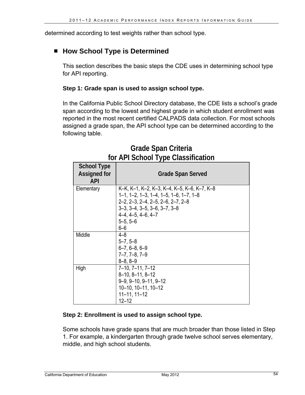determined according to test weights rather than school type.

#### ■ How School Type is Determined

This section describes the basic steps the CDE uses in determining school type for API reporting.

#### **Step 1: Grade span is used to assign school type.**

In the California Public School Directory database, the CDE lists a school's grade span according to the lowest and highest grade in which student enrollment was reported in the most recent certified CALPADS data collection. For most schools assigned a grade span, the API school type can be determined according to the following table.

| <b>School Type</b><br><b>Assigned for</b><br><b>API</b> | <b>Grade Span Served</b>                                                                                                                                                                                                                                                   |
|---------------------------------------------------------|----------------------------------------------------------------------------------------------------------------------------------------------------------------------------------------------------------------------------------------------------------------------------|
| Elementary                                              | K-K, K-1, K-2, K-3, K-4, K-5, K-6, K-7, K-8<br>$1-1$ , $1-2$ , $1-3$ , $1-4$ , $1-5$ , $1-6$ , $1-7$ , $1-8$<br>$2-2$ , $2-3$ , $2-4$ , $2-5$ , $2-6$ , $2-7$ , $2-8$<br>$3-3$ , $3-4$ , $3-5$ , $3-6$ , $3-7$ , $3-8$<br>$4-4.4-5, 4-6, 4-7$<br>$5 - 5, 5 - 6$<br>$6 - 6$ |
| Middle                                                  | $4 - 8$<br>$5 - 7, 5 - 8$<br>$6 - 7, 6 - 8, 6 - 9$<br>$7 - 7, 7 - 8, 7 - 9$<br>$8 - 8, 8 - 9$                                                                                                                                                                              |
| High                                                    | $7-10$ , $7-11$ , $7-12$<br>$8-10, 8-11, 8-12$<br>$9-9, 9-10, 9-11, 9-12$<br>10-10, 10-11, 10-12<br>$11 - 11, 11 - 12$<br>12–12                                                                                                                                            |

### **Grade Span Criteria for API School Type Classification**

#### **Step 2: Enrollment is used to assign school type.**

Some schools have grade spans that are much broader than those listed in Step 1. For example, a kindergarten through grade twelve school serves elementary, middle, and high school students.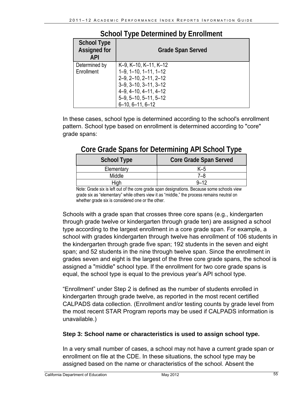| <b>School Type</b><br><b>Assigned for</b><br><b>API</b> | <b>Grade Span Served</b>                                                                                                                                                                          |
|---------------------------------------------------------|---------------------------------------------------------------------------------------------------------------------------------------------------------------------------------------------------|
| Determined by<br>Enrollment                             | K-9, K-10, K-11, K-12<br>$1-9, 1-10, 1-11, 1-12$<br>$2-9$ , $2-10$ , $2-11$ , $2-12$<br>$3-9, 3-10, 3-11, 3-12$<br>$4-9, 4-10, 4-11, 4-12$<br>$5-9, 5-10, 5-11, 5-12$<br>$6 - 10, 6 - 11, 6 - 12$ |

#### **School Type Determined by Enrollment**

In these cases, school type is determined according to the school's enrollment pattern. School type based on enrollment is determined according to "core" grade spans:

#### School Type **Core Grade Span Served** Elementary K–5 Middle 7–8 High 9–12

### **Core Grade Spans for Determining API School Type**

 whether grade six is considered one or the other. Note: Grade six is left out of the core grade span designations. Because some schools view grade six as "elementary" while others view it as "middle," the process remains neutral on

Schools with a grade span that crosses three core spans (e.g., kindergarten through grade twelve or kindergarten through grade ten) are assigned a school type according to the largest enrollment in a core grade span. For example, a school with grades kindergarten through twelve has enrollment of 106 students in the kindergarten through grade five span; 192 students in the seven and eight span; and 52 students in the nine through twelve span. Since the enrollment in grades seven and eight is the largest of the three core grade spans, the school is assigned a "middle" school type. If the enrollment for two core grade spans is equal, the school type is equal to the previous year's API school type.

"Enrollment" under Step 2 is defined as the number of students enrolled in kindergarten through grade twelve, as reported in the most recent certified CALPADS data collection. (Enrollment and/or testing counts by grade level from the most recent STAR Program reports may be used if CALPADS information is unavailable.)

#### **Step 3: School name or characteristics is used to assign school type.**

In a very small number of cases, a school may not have a current grade span or enrollment on file at the CDE. In these situations, the school type may be assigned based on the name or characteristics of the school. Absent the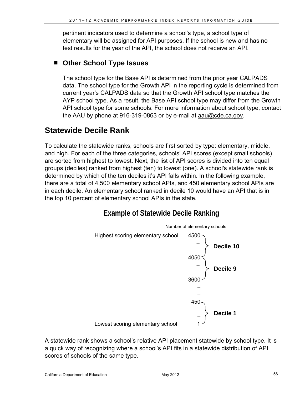pertinent indicators used to determine a school's type, a school type of elementary will be assigned for API purposes. If the school is new and has no test results for the year of the API, the school does not receive an API.

#### **Other School Type Issues**

The school type for the Base API is determined from the prior year CALPADS data. The school type for the Growth API in the reporting cycle is determined from current year's CALPADS data so that the Growth API school type matches the AYP school type. As a result, the Base API school type may differ from the Growth API school type for some schools. For more information about school type, contact the AAU by phone at 916-319-0863 or by e-mail at aau@cde.ca.gov.

## **Statewide Decile Rank**

To calculate the statewide ranks, schools are first sorted by type: elementary, middle, and high. For each of the three categories, schools' API scores (except small schools) are sorted from highest to lowest. Next, the list of API scores is divided into ten equal groups (deciles) ranked from highest (ten) to lowest (one). A school's statewide rank is determined by which of the ten deciles it's API falls within. In the following example, there are a total of 4,500 elementary school APIs, and 450 elementary school APIs are in each decile. An elementary school ranked in decile 10 would have an API that is in the top 10 percent of elementary school APIs in the state.

### **Example of Statewide Decile Ranking**



A statewide rank shows a school's relative API placement statewide by school type. It is a quick way of recognizing where a school's API fits in a statewide distribution of API scores of schools of the same type.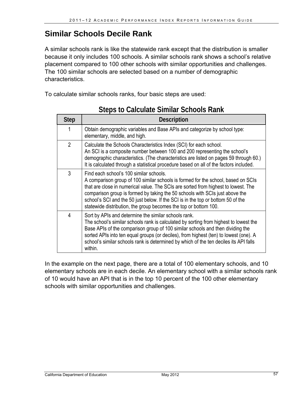### **Similar Schools Decile Rank**

A similar schools rank is like the statewide rank except that the distribution is smaller because it only includes 100 schools. A similar schools rank shows a school's relative placement compared to 100 other schools with similar opportunities and challenges. The 100 similar schools are selected based on a number of demographic characteristics.

To calculate similar schools ranks, four basic steps are used:

| <b>Step</b>    | <b>Description</b>                                                                                                                                                                                                                                                                                                                                                                                                                                         |
|----------------|------------------------------------------------------------------------------------------------------------------------------------------------------------------------------------------------------------------------------------------------------------------------------------------------------------------------------------------------------------------------------------------------------------------------------------------------------------|
| 1              | Obtain demographic variables and Base APIs and categorize by school type:<br>elementary, middle, and high.                                                                                                                                                                                                                                                                                                                                                 |
| $\overline{2}$ | Calculate the Schools Characteristics Index (SCI) for each school.<br>An SCI is a composite number between 100 and 200 representing the school's<br>demographic characteristics. (The characteristics are listed on pages 59 through 60.)<br>It is calculated through a statistical procedure based on all of the factors included.                                                                                                                        |
| 3              | Find each school's 100 similar schools.<br>A comparison group of 100 similar schools is formed for the school, based on SCIs<br>that are close in numerical value. The SCIs are sorted from highest to lowest. The<br>comparison group is formed by taking the 50 schools with SCIs just above the<br>school's SCI and the 50 just below. If the SCI is in the top or bottom 50 of the<br>statewide distribution, the group becomes the top or bottom 100. |
| 4              | Sort by APIs and determine the similar schools rank.<br>The school's similar schools rank is calculated by sorting from highest to lowest the<br>Base APIs of the comparison group of 100 similar schools and then dividing the<br>sorted APIs into ten equal groups (or deciles), from highest (ten) to lowest (one). A<br>school's similar schools rank is determined by which of the ten deciles its API falls<br>within.                               |

### **Steps to Calculate Similar Schools Rank**

In the example on the next page, there are a total of 100 elementary schools, and 10 elementary schools are in each decile. An elementary school with a similar schools rank of 10 would have an API that is in the top 10 percent of the 100 other elementary schools with similar opportunities and challenges.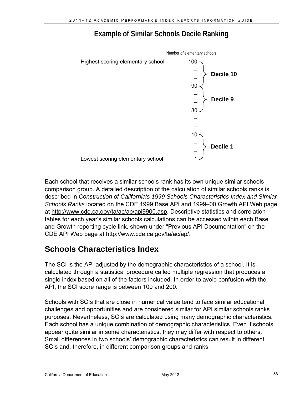### **Example of Similar Schools Decile Ranking**



Each school that receives a similar schools rank has its own unique similar schools comparison group. A detailed description of the calculation of similar schools ranks is described in *Construction of California's 1999 Schools Characteristics Index and Similar Schools Ranks* located on the CDE 1999 Base API and 1999–00 Growth API Web page at http://www.cde.ca.gov/ta/ac/ap/api9900.asp. Descriptive statistics and correlation tables for each year's similar schools calculations can be accessed within each Base and Growth reporting cycle link, shown under "Previous API Documentation" on the CDE API Web page at http://www.cde.ca.gov/ta/ac/ap/.

## **Schools Characteristics Index**

The SCI is the API adjusted by the demographic characteristics of a school. It is calculated through a statistical procedure called multiple regression that produces a single index based on all of the factors included. In order to avoid confusion with the API, the SCI score range is between 100 and 200.

Schools with SCIs that are close in numerical value tend to face similar educational challenges and opportunities and are considered similar for API similar schools ranks purposes. Nevertheless, SCIs are calculated using many demographic characteristics. Each school has a unique combination of demographic characteristics. Even if schools appear quite similar in some characteristics, they may differ with respect to others. Small differences in two schools' demographic characteristics can result in different SCIs and, therefore, in different comparison groups and ranks.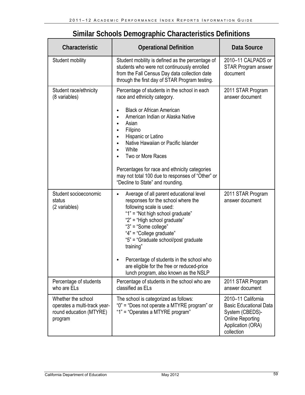| Characteristic                                                                           | <b>Operational Definition</b>                                                                                                                                                                                                                                                                                                                                                                                                           | Data Source                                                                                                                          |
|------------------------------------------------------------------------------------------|-----------------------------------------------------------------------------------------------------------------------------------------------------------------------------------------------------------------------------------------------------------------------------------------------------------------------------------------------------------------------------------------------------------------------------------------|--------------------------------------------------------------------------------------------------------------------------------------|
| <b>Student mobility</b>                                                                  | Student mobility is defined as the percentage of<br>students who were not continuously enrolled<br>from the Fall Census Day data collection date<br>through the first day of STAR Program testing.                                                                                                                                                                                                                                      | 2010-11 CALPADS or<br><b>STAR Program answer</b><br>document                                                                         |
| Student race/ethnicity<br>(8 variables)                                                  | Percentage of students in the school in each<br>race and ethnicity category.<br><b>Black or African American</b><br>American Indian or Alaska Native<br>Asian<br>Filipino<br>Hispanic or Latino<br>$\bullet$<br>Native Hawaiian or Pacific Islander<br>$\bullet$<br>White<br>Two or More Races<br>Percentages for race and ethnicity categories<br>may not total 100 due to responses of "Other" or<br>"Decline to State" and rounding. | 2011 STAR Program<br>answer document                                                                                                 |
| Student socioeconomic<br>status<br>(2 variables)                                         | Average of all parent educational level<br>$\bullet$<br>responses for the school where the<br>following scale is used:<br>"1" = "Not high school graduate"<br>"2" = "High school graduate"<br>"3" = "Some college"<br>"4" = "College graduate"<br>"5" = "Graduate school/post graduate<br>training"<br>Percentage of students in the school who<br>are eligible for the free or reduced-price<br>lunch program, also known as the NSLP  | 2011 STAR Program<br>answer document                                                                                                 |
| Percentage of students<br>who are ELs                                                    | Percentage of students in the school who are<br>classified as ELs                                                                                                                                                                                                                                                                                                                                                                       | 2011 STAR Program<br>answer document                                                                                                 |
| Whether the school<br>operates a multi-track year-<br>round education (MTYRE)<br>program | The school is categorized as follows:<br>"0" = "Does not operate a MTYRE program" or<br>"1" = "Operates a MTYRE program"                                                                                                                                                                                                                                                                                                                | 2010-11 California<br><b>Basic Educational Data</b><br>System (CBEDS)-<br><b>Online Reporting</b><br>Application (ORA)<br>collection |

### **Similar Schools Demographic Characteristics Definitions**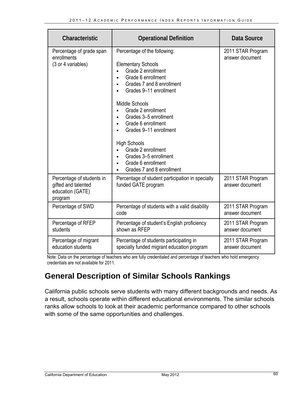| Characteristic                                                                  | <b>Operational Definition</b>                                                                                                                                                                                                                                                                                                                                                                                 | Data Source                          |
|---------------------------------------------------------------------------------|---------------------------------------------------------------------------------------------------------------------------------------------------------------------------------------------------------------------------------------------------------------------------------------------------------------------------------------------------------------------------------------------------------------|--------------------------------------|
| Percentage of grade span<br>enrollments<br>(3 or 4 variables)                   | Percentage of the following:<br><b>Elementary Schools</b><br>Grade 2 enrollment<br>Grade 6 enrollment<br>Grades 7 and 8 enrollment<br>Grades 9-11 enrollment<br><b>Middle Schools</b><br>Grade 2 enrollment<br>Grades 3-5 enrollment<br>Grade 6 enrollment<br>Grades 9-11 enrollment<br><b>High Schools</b><br>Grade 2 enrollment<br>Grades 3-5 enrollment<br>Grade 6 enrollment<br>Grades 7 and 8 enrollment | 2011 STAR Program<br>answer document |
| Percentage of students in<br>gifted and talented<br>education (GATE)<br>program | Percentage of student participation in specially<br>funded GATE program                                                                                                                                                                                                                                                                                                                                       | 2011 STAR Program<br>answer document |
| Percentage of SWD                                                               | Percentage of students with a valid disability<br>code                                                                                                                                                                                                                                                                                                                                                        | 2011 STAR Program<br>answer document |
| Percentage of RFEP<br>students                                                  | Percentage of student's English proficiency<br>shown as RFEP                                                                                                                                                                                                                                                                                                                                                  | 2011 STAR Program<br>answer document |
| Percentage of migrant<br>education students                                     | Percentage of students participating in<br>specially funded migrant education program                                                                                                                                                                                                                                                                                                                         | 2011 STAR Program<br>answer document |

Note: Data on the percentage of teachers who are fully credentialed and percentage of teachers who hold emergency credentials are not available for 2011.

## **General Description of Similar Schools Rankings**

California public schools serve students with many different backgrounds and needs. As a result, schools operate within different educational environments. The similar schools ranks allow schools to look at their academic performance compared to other schools with some of the same opportunities and challenges.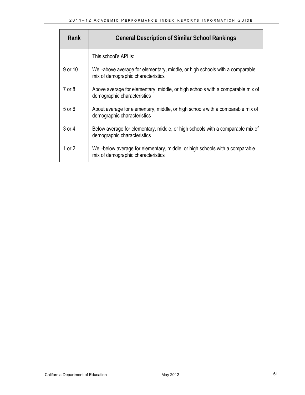| Rank       | <b>General Description of Similar School Rankings</b>                                                              |
|------------|--------------------------------------------------------------------------------------------------------------------|
|            | This school's API is:                                                                                              |
| 9 or 10    | Well-above average for elementary, middle, or high schools with a comparable<br>mix of demographic characteristics |
| 7 or 8     | Above average for elementary, middle, or high schools with a comparable mix of<br>demographic characteristics      |
| $5$ or $6$ | About average for elementary, middle, or high schools with a comparable mix of<br>demographic characteristics      |
| 3 or 4     | Below average for elementary, middle, or high schools with a comparable mix of<br>demographic characteristics      |
| 1 or 2     | Well-below average for elementary, middle, or high schools with a comparable<br>mix of demographic characteristics |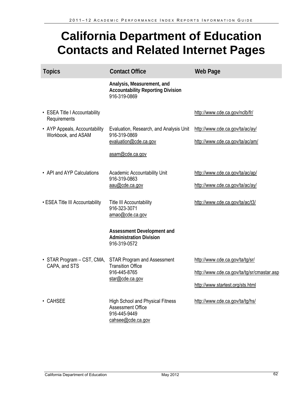## **California Department of Education Contacts and Related Internet Pages**

| <b>Topics</b>                                       | <b>Contact Office</b>                                                                                    | <b>Web Page</b>                                                    |
|-----------------------------------------------------|----------------------------------------------------------------------------------------------------------|--------------------------------------------------------------------|
|                                                     | Analysis, Measurement, and<br><b>Accountability Reporting Division</b><br>916-319-0869                   |                                                                    |
| • ESEA Title I Accountability<br>Requirements       |                                                                                                          | http://www.cde.ca.gov/nclb/fr/                                     |
| • AYP Appeals, Accountability<br>Workbook, and ASAM | Evaluation, Research, and Analysis Unit<br>916-319-0869<br>evaluation@cde.ca.gov                         | http://www.cde.ca.gov/ta/ac/ay/<br>http://www.cde.ca.gov/ta/ac/am/ |
|                                                     | asam@cde.ca.gov                                                                                          |                                                                    |
| • API and AYP Calculations                          | Academic Accountability Unit<br>916-319-0863                                                             | http://www.cde.ca.gov/ta/ac/ap/                                    |
|                                                     | aau@cde.ca.gov                                                                                           | http://www.cde.ca.gov/ta/ac/ay/                                    |
| • ESEA Title III Accountability                     | Title III Accountability<br>916-323-3071<br>amao@cde.ca.gov                                              | http://www.cde.ca.gov/ta/ac/t3/                                    |
|                                                     | Assessment Development and<br><b>Administration Division</b><br>916-319-0572                             |                                                                    |
| • STAR Program – CST, CMA,<br>CAPA, and STS         | <b>STAR Program and Assessment</b><br><b>Transition Office</b><br>916-445-8765<br>star@cde.ca.gov        | http://www.cde.ca.gov/ta/tg/sr/                                    |
|                                                     |                                                                                                          | http://www.cde.ca.gov/ta/tg/sr/cmastar.asp                         |
|                                                     |                                                                                                          | http://www.startest.org/sts.html                                   |
| • CAHSEE                                            | <b>High School and Physical Fitness</b><br><b>Assessment Office</b><br>916-445-9449<br>cahsee@cde.ca.gov | http://www.cde.ca.gov/ta/tg/hs/                                    |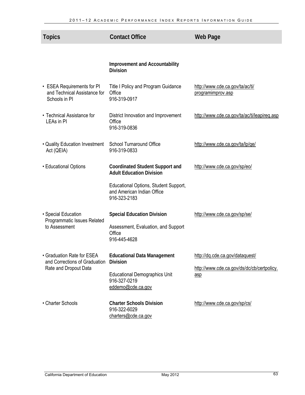| <b>Topics</b>                                                               | <b>Contact Office</b>                                                               | <b>Web Page</b>                                      |
|-----------------------------------------------------------------------------|-------------------------------------------------------------------------------------|------------------------------------------------------|
|                                                                             |                                                                                     |                                                      |
|                                                                             | <b>Improvement and Accountability</b><br><b>Division</b>                            |                                                      |
| • ESEA Requirements for PI<br>and Technical Assistance for<br>Schools in PI | Title I Policy and Program Guidance<br>Office<br>916-319-0917                       | http://www.cde.ca.gov/ta/ac/ti/<br>programimprov.asp |
| • Technical Assistance for<br>LEAs in PI                                    | District Innovation and Improvement<br>Office<br>916-319-0836                       | http://www.cde.ca.gov/ta/ac/ti/leapireq.asp          |
| • Quality Education Investment<br>Act (QEIA)                                | <b>School Turnaround Office</b><br>916-319-0833                                     | http://www.cde.ca.gov/ta/lp/ge/                      |
| • Educational Options                                                       | <b>Coordinated Student Support and</b><br><b>Adult Education Division</b>           | http://www.cde.ca.gov/sp/eo/                         |
|                                                                             | Educational Options, Student Support,<br>and American Indian Office<br>916-323-2183 |                                                      |
| • Special Education<br>Programmatic Issues Related                          | <b>Special Education Division</b>                                                   | http://www.cde.ca.gov/sp/se/                         |
| to Assessment                                                               | Assessment, Evaluation, and Support<br>Office<br>916-445-4628                       |                                                      |
| • Graduation Rate for ESEA<br>and Corrections of Graduation                 | <b>Educational Data Management</b><br><b>Division</b>                               | http://dq.cde.ca.gov/dataquest/                      |
| Rate and Dropout Data                                                       | <b>Educational Demographics Unit</b><br>916-327-0219<br>eddemo@cde.ca.gov           | http://www.cde.ca.gov/ds/dc/cb/certpolicy.<br>asp    |
| • Charter Schools                                                           | <b>Charter Schools Division</b><br>916-322-6029<br>charters@cde.ca.gov              | http://www.cde.ca.gov/sp/cs/                         |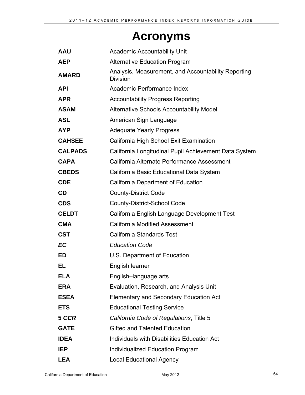## **Acronyms**

| <b>AAU</b>     | <b>Academic Accountability Unit</b>                                    |
|----------------|------------------------------------------------------------------------|
| <b>AEP</b>     | <b>Alternative Education Program</b>                                   |
| <b>AMARD</b>   | Analysis, Measurement, and Accountability Reporting<br><b>Division</b> |
| <b>API</b>     | Academic Performance Index                                             |
| <b>APR</b>     | <b>Accountability Progress Reporting</b>                               |
| <b>ASAM</b>    | <b>Alternative Schools Accountability Model</b>                        |
| <b>ASL</b>     | American Sign Language                                                 |
| <b>AYP</b>     | <b>Adequate Yearly Progress</b>                                        |
| <b>CAHSEE</b>  | California High School Exit Examination                                |
| <b>CALPADS</b> | California Longitudinal Pupil Achievement Data System                  |
| <b>CAPA</b>    | California Alternate Performance Assessment                            |
| <b>CBEDS</b>   | California Basic Educational Data System                               |
| <b>CDE</b>     | <b>California Department of Education</b>                              |
| <b>CD</b>      | <b>County-District Code</b>                                            |
| <b>CDS</b>     | <b>County-District-School Code</b>                                     |
| <b>CELDT</b>   | California English Language Development Test                           |
| <b>CMA</b>     | <b>California Modified Assessment</b>                                  |
| <b>CST</b>     | <b>California Standards Test</b>                                       |
| <b>EC</b>      | <b>Education Code</b>                                                  |
| <b>ED</b>      | U.S. Department of Education                                           |
| EL             | English learner                                                        |
| <b>ELA</b>     | English-language arts                                                  |
| <b>ERA</b>     | Evaluation, Research, and Analysis Unit                                |
| <b>ESEA</b>    | <b>Elementary and Secondary Education Act</b>                          |
| <b>ETS</b>     | <b>Educational Testing Service</b>                                     |
| 5 CCR          | California Code of Regulations, Title 5                                |
| <b>GATE</b>    | <b>Gifted and Talented Education</b>                                   |
| <b>IDEA</b>    | Individuals with Disabilities Education Act                            |
| IEP            | Individualized Education Program                                       |
| <b>LEA</b>     | <b>Local Educational Agency</b>                                        |